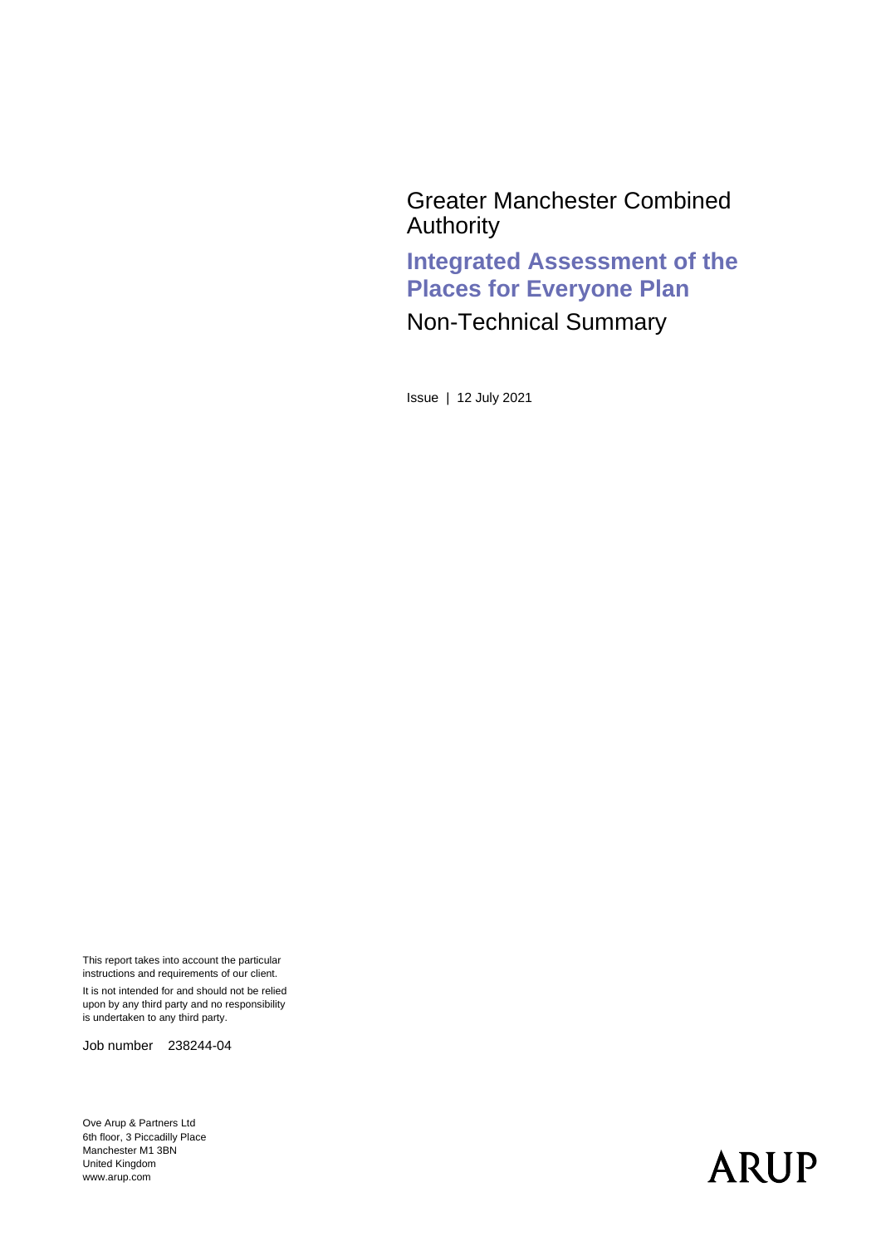Greater Manchester Combined Authority

**Integrated Assessment of the Places for Everyone Plan**

Non-Technical Summary

Issue | 12 July 2021

This report takes into account the particular instructions and requirements of our client.

It is not intended for and should not be relied upon by any third party and no responsibility is undertaken to any third party.

Job number 238244-04

Ove Arup & Partners Ltd 6th floor, 3 Piccadilly Place Manchester M1 3BN United Kingdom www.arup.com

# **ARUP**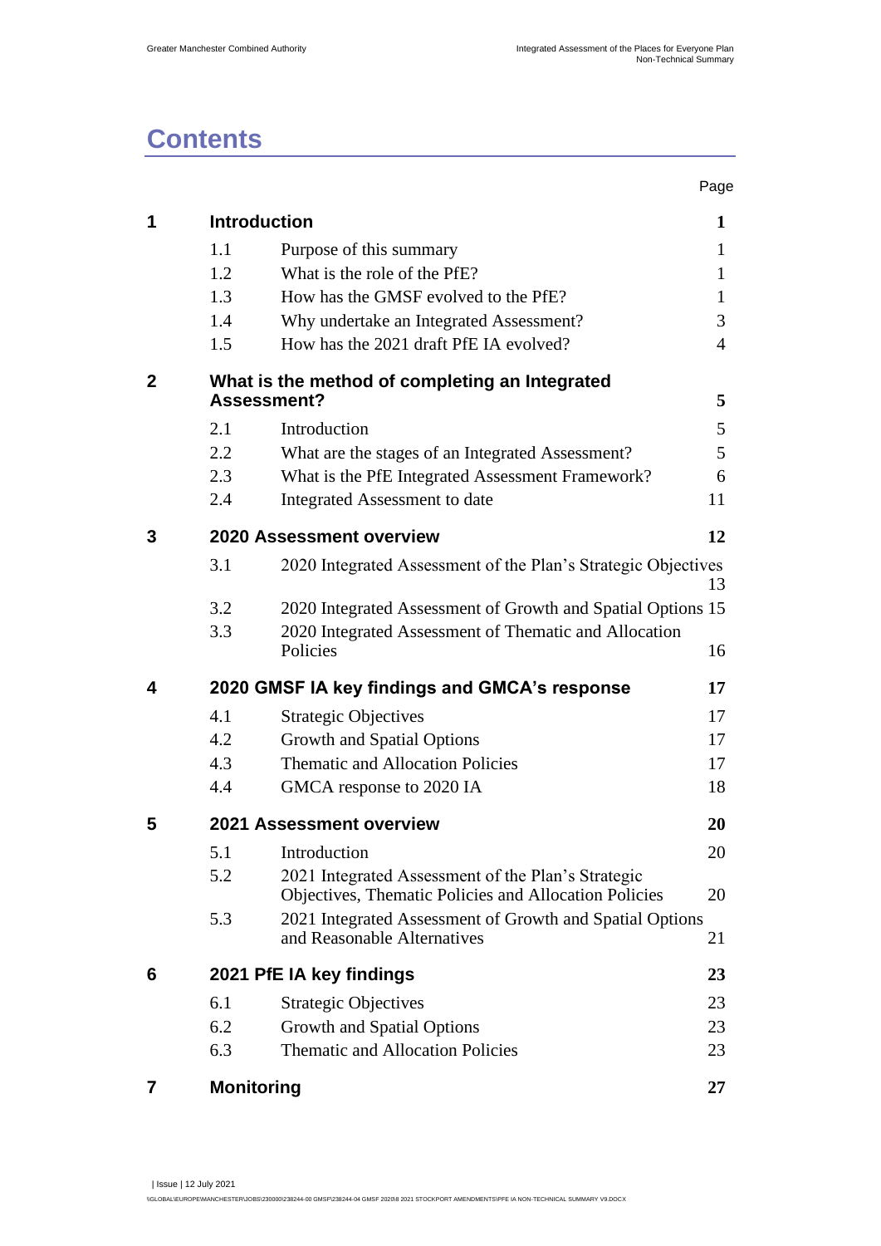## **Contents**

|              |                   |                                                                                                             | Page           |
|--------------|-------------------|-------------------------------------------------------------------------------------------------------------|----------------|
| 1            |                   | <b>Introduction</b>                                                                                         | 1              |
|              | 1.1               | Purpose of this summary                                                                                     | 1              |
|              | 1.2               | What is the role of the PfE?                                                                                | 1              |
|              | 1.3               | How has the GMSF evolved to the PfE?                                                                        | 1              |
|              | 1.4               | Why undertake an Integrated Assessment?                                                                     | 3              |
|              | 1.5               | How has the 2021 draft PfE IA evolved?                                                                      | $\overline{4}$ |
| $\mathbf{2}$ |                   | What is the method of completing an Integrated<br>Assessment?                                               | 5              |
|              | 2.1               | Introduction                                                                                                | 5              |
|              | 2.2               | What are the stages of an Integrated Assessment?                                                            | 5              |
|              | 2.3               | What is the PfE Integrated Assessment Framework?                                                            | 6              |
|              | 2.4               | Integrated Assessment to date                                                                               | 11             |
| 3            |                   | 2020 Assessment overview                                                                                    | 12             |
|              | 3.1               | 2020 Integrated Assessment of the Plan's Strategic Objectives                                               | 13             |
|              | 3.2               | 2020 Integrated Assessment of Growth and Spatial Options 15                                                 |                |
|              | 3.3               | 2020 Integrated Assessment of Thematic and Allocation<br>Policies                                           | 16             |
| 4            |                   | 2020 GMSF IA key findings and GMCA's response                                                               | 17             |
|              | 4.1               | <b>Strategic Objectives</b>                                                                                 | 17             |
|              | 4.2               | Growth and Spatial Options                                                                                  | 17             |
|              | 4.3               | <b>Thematic and Allocation Policies</b>                                                                     | 17             |
|              | 4.4               | GMCA response to 2020 IA                                                                                    | 18             |
| 5            |                   | 2021 Assessment overview                                                                                    | 20             |
|              | 5.1               | Introduction                                                                                                | 20             |
|              | 5.2               | 2021 Integrated Assessment of the Plan's Strategic<br>Objectives, Thematic Policies and Allocation Policies | 20             |
|              | 5.3               | 2021 Integrated Assessment of Growth and Spatial Options<br>and Reasonable Alternatives                     | 21             |
| 6            |                   | 2021 PfE IA key findings                                                                                    | 23             |
|              | 6.1               | <b>Strategic Objectives</b>                                                                                 | 23             |
|              | 6.2               | Growth and Spatial Options                                                                                  | 23             |
|              | 6.3               | <b>Thematic and Allocation Policies</b>                                                                     | 23             |
| 7            | <b>Monitoring</b> |                                                                                                             | 27             |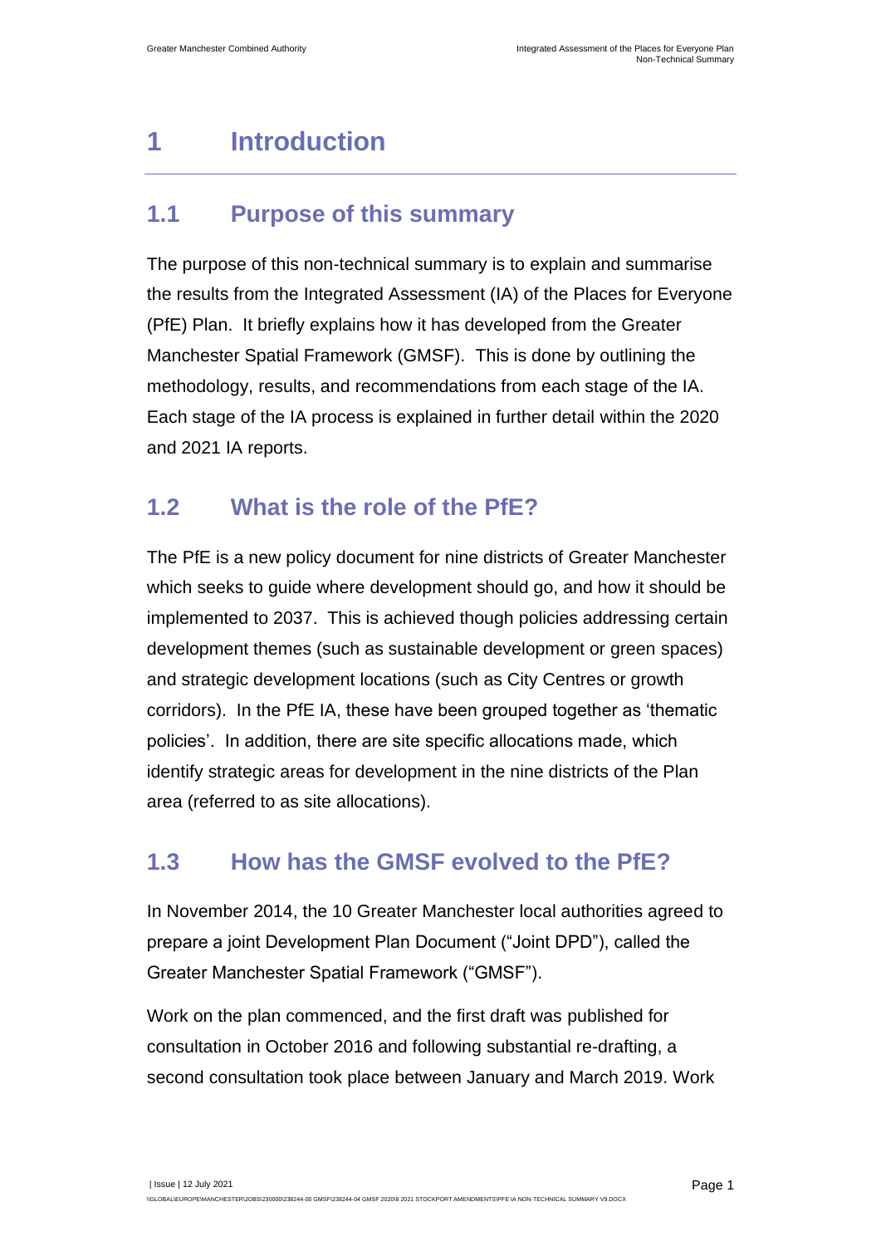## <span id="page-3-0"></span>**1 Introduction**

### <span id="page-3-1"></span>**1.1 Purpose of this summary**

The purpose of this non-technical summary is to explain and summarise the results from the Integrated Assessment (IA) of the Places for Everyone (PfE) Plan. It briefly explains how it has developed from the Greater Manchester Spatial Framework (GMSF). This is done by outlining the methodology, results, and recommendations from each stage of the IA. Each stage of the IA process is explained in further detail within the 2020 and 2021 IA reports.

### <span id="page-3-2"></span>**1.2 What is the role of the PfE?**

The PfE is a new policy document for nine districts of Greater Manchester which seeks to guide where development should go, and how it should be implemented to 2037. This is achieved though policies addressing certain development themes (such as sustainable development or green spaces) and strategic development locations (such as City Centres or growth corridors). In the PfE IA, these have been grouped together as 'thematic policies'. In addition, there are site specific allocations made, which identify strategic areas for development in the nine districts of the Plan area (referred to as site allocations).

### <span id="page-3-3"></span>**1.3 How has the GMSF evolved to the PfE?**

In November 2014, the 10 Greater Manchester local authorities agreed to prepare a joint Development Plan Document ("Joint DPD"), called the Greater Manchester Spatial Framework ("GMSF").

Work on the plan commenced, and the first draft was published for consultation in October 2016 and following substantial re-drafting, a second consultation took place between January and March 2019. Work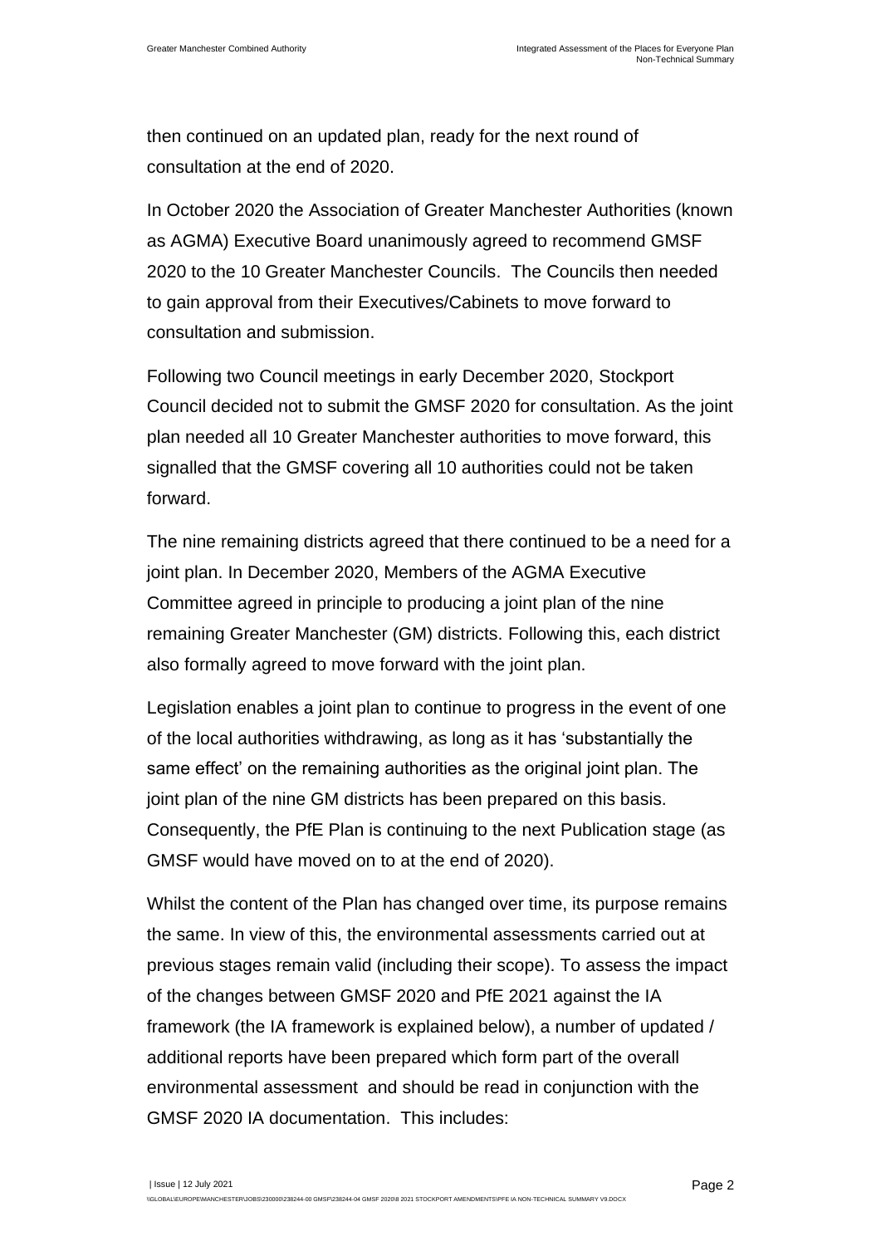then continued on an updated plan, ready for the next round of consultation at the end of 2020.

In October 2020 the Association of Greater Manchester Authorities (known as AGMA) Executive Board unanimously agreed to recommend GMSF 2020 to the 10 Greater Manchester Councils. The Councils then needed to gain approval from their Executives/Cabinets to move forward to consultation and submission.

Following two Council meetings in early December 2020, Stockport Council decided not to submit the GMSF 2020 for consultation. As the joint plan needed all 10 Greater Manchester authorities to move forward, this signalled that the GMSF covering all 10 authorities could not be taken forward.

The nine remaining districts agreed that there continued to be a need for a joint plan. In December 2020, Members of the AGMA Executive Committee agreed in principle to producing a joint plan of the nine remaining Greater Manchester (GM) districts. Following this, each district also formally agreed to move forward with the joint plan.

Legislation enables a joint plan to continue to progress in the event of one of the local authorities withdrawing, as long as it has 'substantially the same effect' on the remaining authorities as the original joint plan. The joint plan of the nine GM districts has been prepared on this basis. Consequently, the PfE Plan is continuing to the next Publication stage (as GMSF would have moved on to at the end of 2020).

Whilst the content of the Plan has changed over time, its purpose remains the same. In view of this, the environmental assessments carried out at previous stages remain valid (including their scope). To assess the impact of the changes between GMSF 2020 and PfE 2021 against the IA framework (the IA framework is explained below), a number of updated / additional reports have been prepared which form part of the overall environmental assessment and should be read in conjunction with the GMSF 2020 IA documentation. This includes: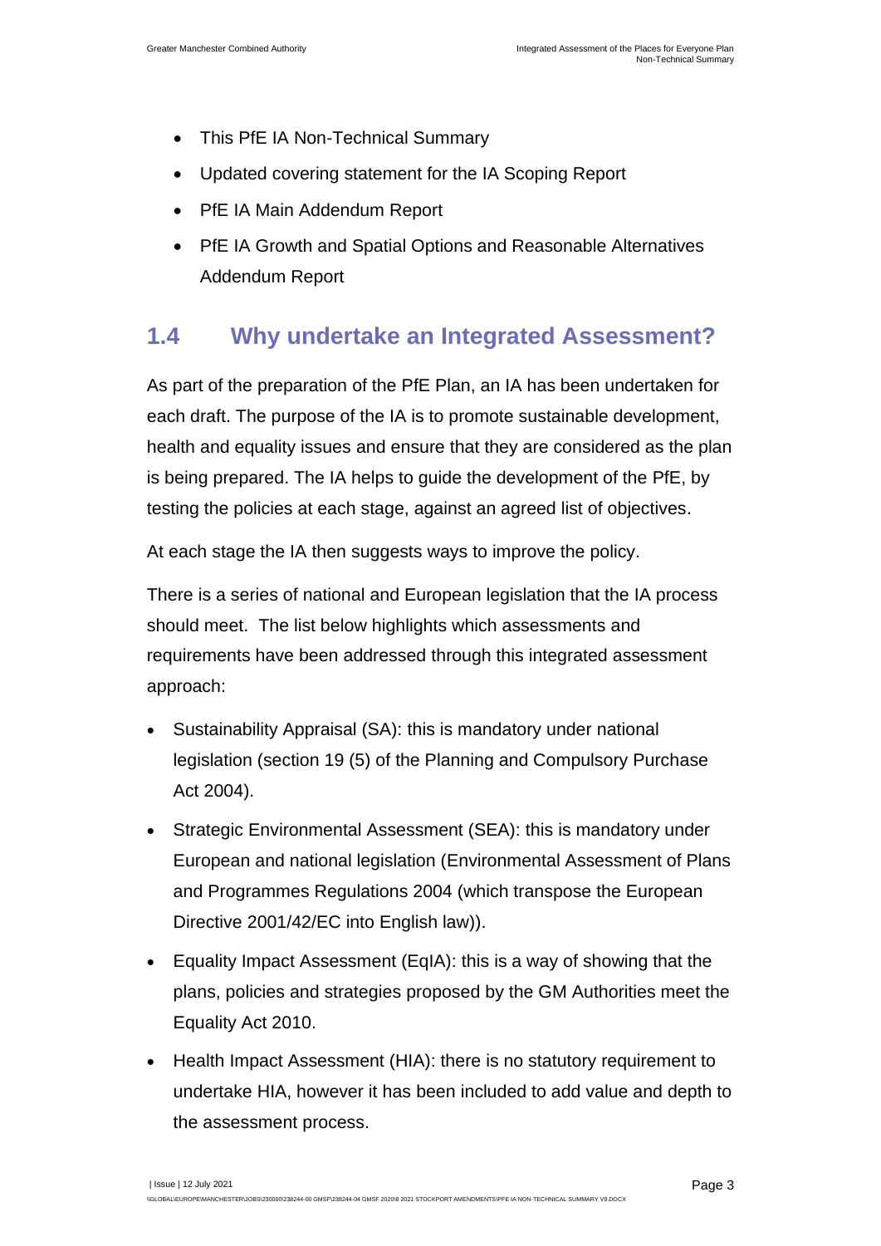- This PfE IA Non-Technical Summary
- Updated covering statement for the IA Scoping Report
- PfE IA Main Addendum Report
- PfE IA Growth and Spatial Options and Reasonable Alternatives Addendum Report

### <span id="page-5-0"></span>**1.4 Why undertake an Integrated Assessment?**

As part of the preparation of the PfE Plan, an IA has been undertaken for each draft. The purpose of the IA is to promote sustainable development, health and equality issues and ensure that they are considered as the plan is being prepared. The IA helps to guide the development of the PfE, by testing the policies at each stage, against an agreed list of objectives.

At each stage the IA then suggests ways to improve the policy.

There is a series of national and European legislation that the IA process should meet. The list below highlights which assessments and requirements have been addressed through this integrated assessment approach:

- Sustainability Appraisal (SA): this is mandatory under national legislation (section 19 (5) of the Planning and Compulsory Purchase Act 2004).
- Strategic Environmental Assessment (SEA): this is mandatory under European and national legislation (Environmental Assessment of Plans and Programmes Regulations 2004 (which transpose the European Directive 2001/42/EC into English law)).
- Equality Impact Assessment (EqIA): this is a way of showing that the plans, policies and strategies proposed by the GM Authorities meet the Equality Act 2010.
- Health Impact Assessment (HIA): there is no statutory requirement to undertake HIA, however it has been included to add value and depth to the assessment process.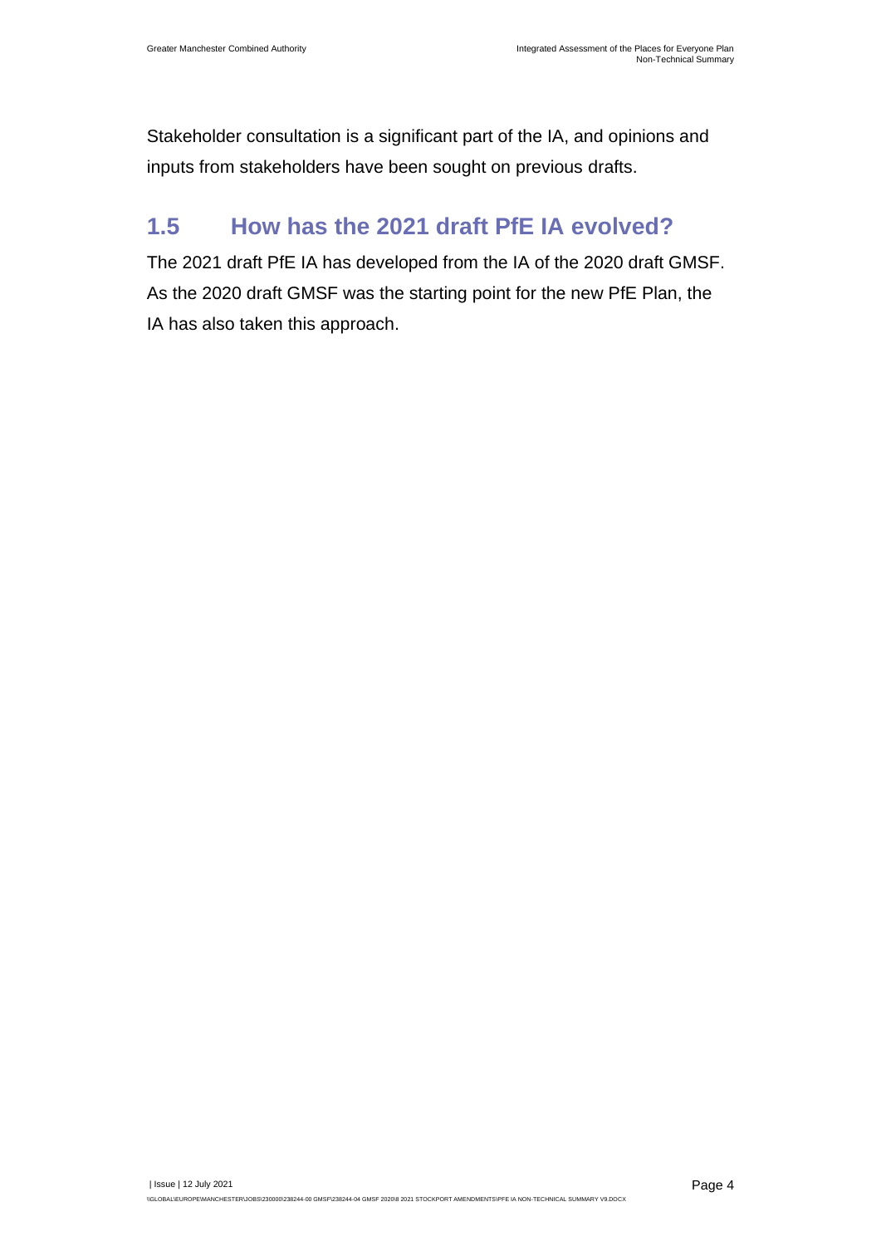Stakeholder consultation is a significant part of the IA, and opinions and inputs from stakeholders have been sought on previous drafts.

### <span id="page-6-0"></span>**1.5 How has the 2021 draft PfE IA evolved?**

The 2021 draft PfE IA has developed from the IA of the 2020 draft GMSF. As the 2020 draft GMSF was the starting point for the new PfE Plan, the IA has also taken this approach.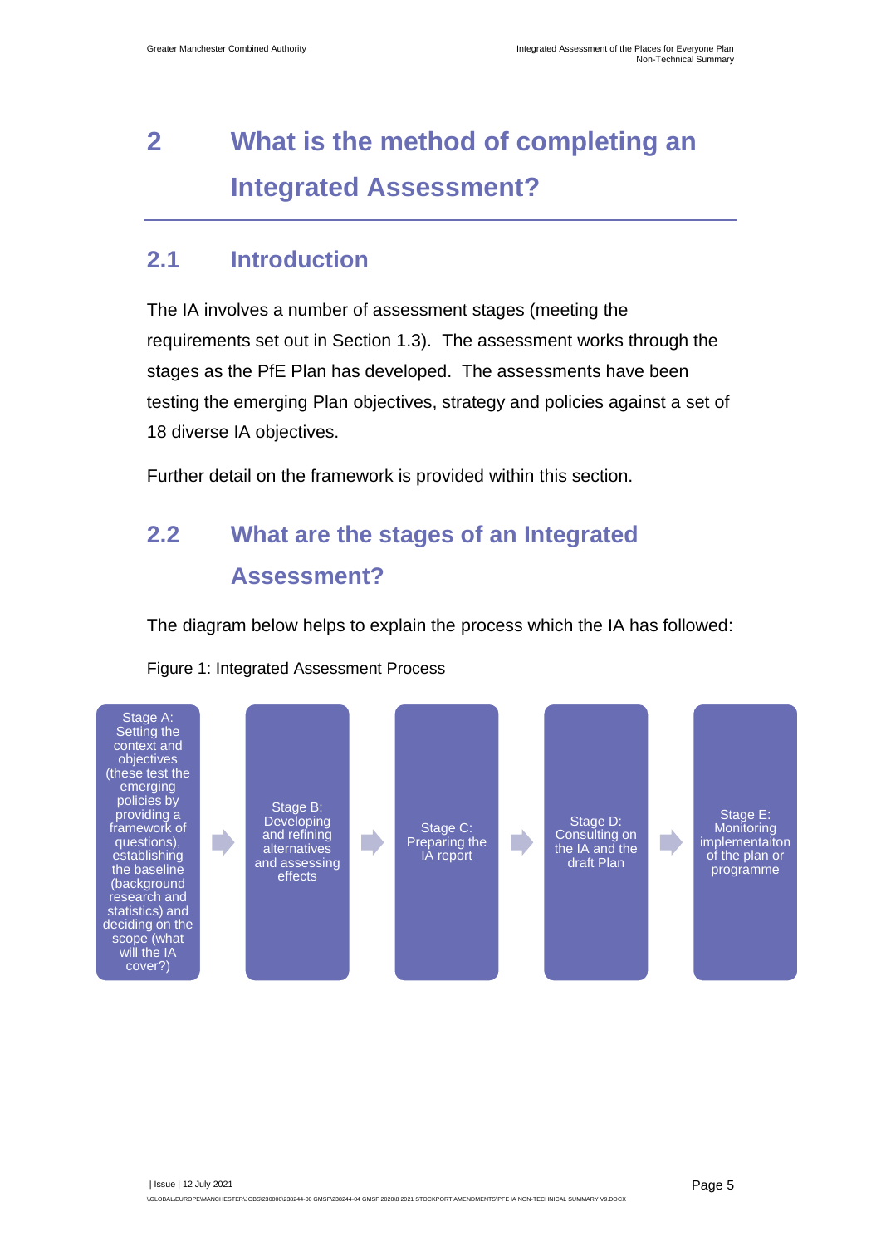## <span id="page-7-0"></span>**2 What is the method of completing an Integrated Assessment?**

### <span id="page-7-1"></span>**2.1 Introduction**

The IA involves a number of assessment stages (meeting the requirements set out in Section 1.3). The assessment works through the stages as the PfE Plan has developed. The assessments have been testing the emerging Plan objectives, strategy and policies against a set of 18 diverse IA objectives.

Further detail on the framework is provided within this section.

## <span id="page-7-2"></span>**2.2 What are the stages of an Integrated Assessment?**

The diagram below helps to explain the process which the IA has followed:

Figure 1: Integrated Assessment Process

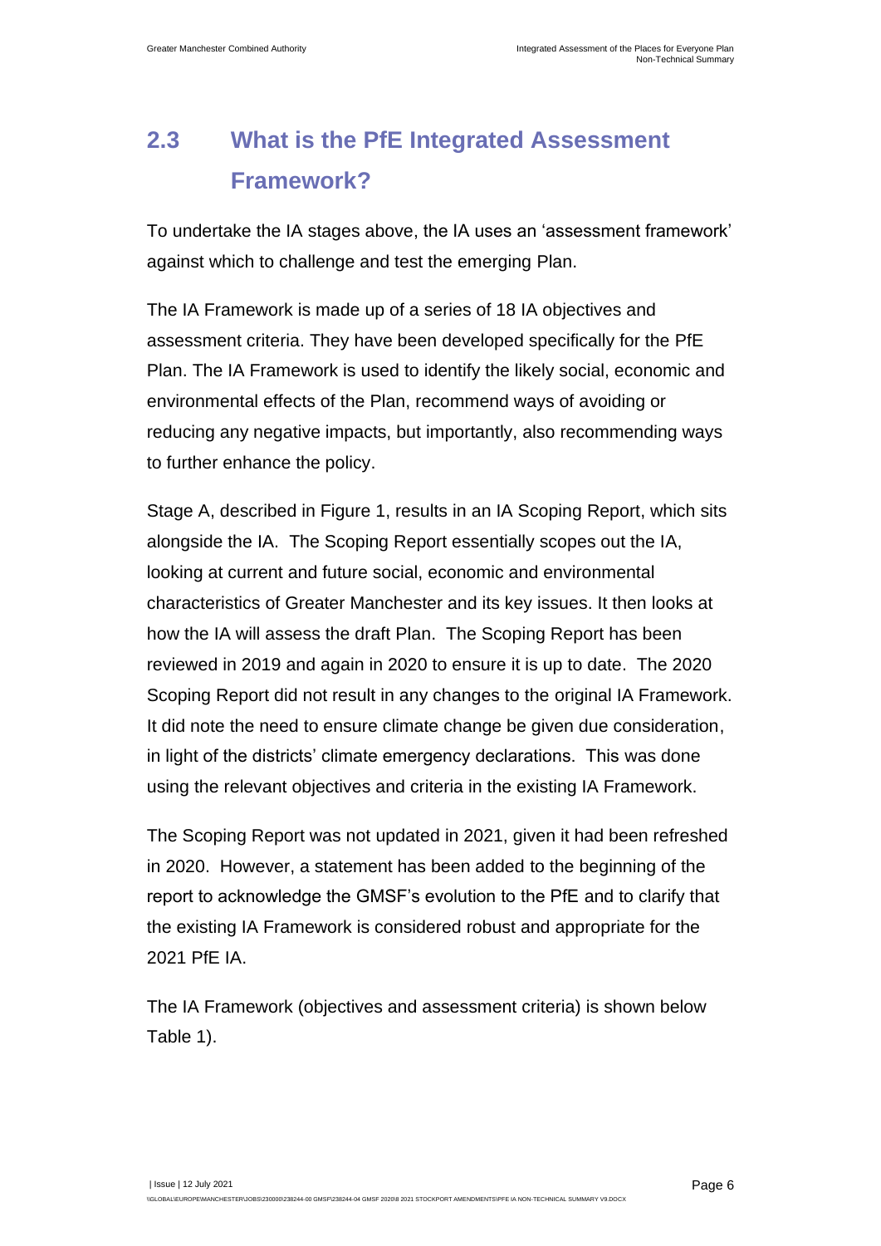## <span id="page-8-0"></span>**2.3 What is the PfE Integrated Assessment Framework?**

To undertake the IA stages above, the IA uses an 'assessment framework' against which to challenge and test the emerging Plan.

The IA Framework is made up of a series of 18 IA objectives and assessment criteria. They have been developed specifically for the PfE Plan. The IA Framework is used to identify the likely social, economic and environmental effects of the Plan, recommend ways of avoiding or reducing any negative impacts, but importantly, also recommending ways to further enhance the policy.

Stage A, described in Figure 1, results in an IA Scoping Report, which sits alongside the IA. The Scoping Report essentially scopes out the IA, looking at current and future social, economic and environmental characteristics of Greater Manchester and its key issues. It then looks at how the IA will assess the draft Plan. The Scoping Report has been reviewed in 2019 and again in 2020 to ensure it is up to date. The 2020 Scoping Report did not result in any changes to the original IA Framework. It did note the need to ensure climate change be given due consideration, in light of the districts' climate emergency declarations. This was done using the relevant objectives and criteria in the existing IA Framework.

The Scoping Report was not updated in 2021, given it had been refreshed in 2020. However, a statement has been added to the beginning of the report to acknowledge the GMSF's evolution to the PfE and to clarify that the existing IA Framework is considered robust and appropriate for the 2021 PfE IA.

The IA Framework (objectives and assessment criteria) is shown below [Table 1\)](#page-9-0).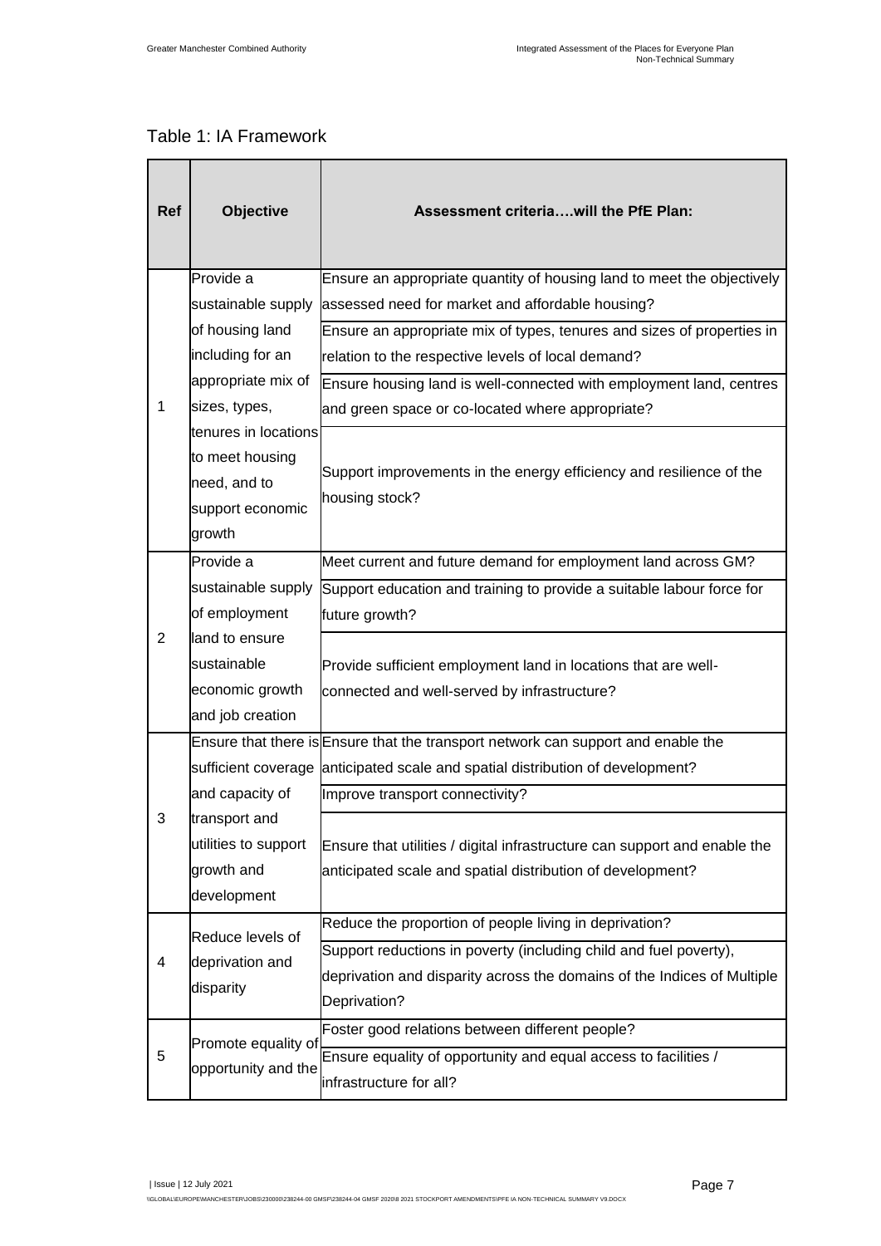#### <span id="page-9-0"></span>Table 1: IA Framework

| <b>Ref</b>     | <b>Objective</b>                                                                      | Assessment criteriawill the PfE Plan:                                                                                                   |
|----------------|---------------------------------------------------------------------------------------|-----------------------------------------------------------------------------------------------------------------------------------------|
|                | Provide a                                                                             | Ensure an appropriate quantity of housing land to meet the objectively                                                                  |
|                | sustainable supply                                                                    | assessed need for market and affordable housing?                                                                                        |
|                | of housing land                                                                       | Ensure an appropriate mix of types, tenures and sizes of properties in                                                                  |
|                | including for an                                                                      | relation to the respective levels of local demand?                                                                                      |
|                | appropriate mix of                                                                    | Ensure housing land is well-connected with employment land, centres                                                                     |
| 1              | sizes, types,                                                                         | and green space or co-located where appropriate?                                                                                        |
|                | tenures in locations<br>to meet housing<br>need, and to<br>support economic<br>growth | Support improvements in the energy efficiency and resilience of the<br>housing stock?                                                   |
|                | Provide a                                                                             | Meet current and future demand for employment land across GM?                                                                           |
|                | sustainable supply                                                                    | Support education and training to provide a suitable labour force for                                                                   |
|                | of employment                                                                         | future growth?                                                                                                                          |
| $\overline{2}$ | land to ensure                                                                        |                                                                                                                                         |
|                | sustainable                                                                           | Provide sufficient employment land in locations that are well-                                                                          |
|                | economic growth                                                                       | connected and well-served by infrastructure?                                                                                            |
|                | and job creation                                                                      |                                                                                                                                         |
|                |                                                                                       | Ensure that there is Ensure that the transport network can support and enable the                                                       |
|                | and capacity of                                                                       | sufficient coverage anticipated scale and spatial distribution of development?                                                          |
| 3              |                                                                                       | Improve transport connectivity?                                                                                                         |
|                | transport and<br>utilities to support<br>growth and<br>development                    | Ensure that utilities / digital infrastructure can support and enable the<br>anticipated scale and spatial distribution of development? |
|                | Reduce levels of                                                                      | Reduce the proportion of people living in deprivation?                                                                                  |
| 4              | deprivation and                                                                       | Support reductions in poverty (including child and fuel poverty),                                                                       |
|                | disparity                                                                             | deprivation and disparity across the domains of the Indices of Multiple                                                                 |
|                |                                                                                       | Deprivation?                                                                                                                            |
|                | Promote equality of                                                                   | Foster good relations between different people?                                                                                         |
| 5              | opportunity and the                                                                   | Ensure equality of opportunity and equal access to facilities /                                                                         |
|                |                                                                                       | infrastructure for all?                                                                                                                 |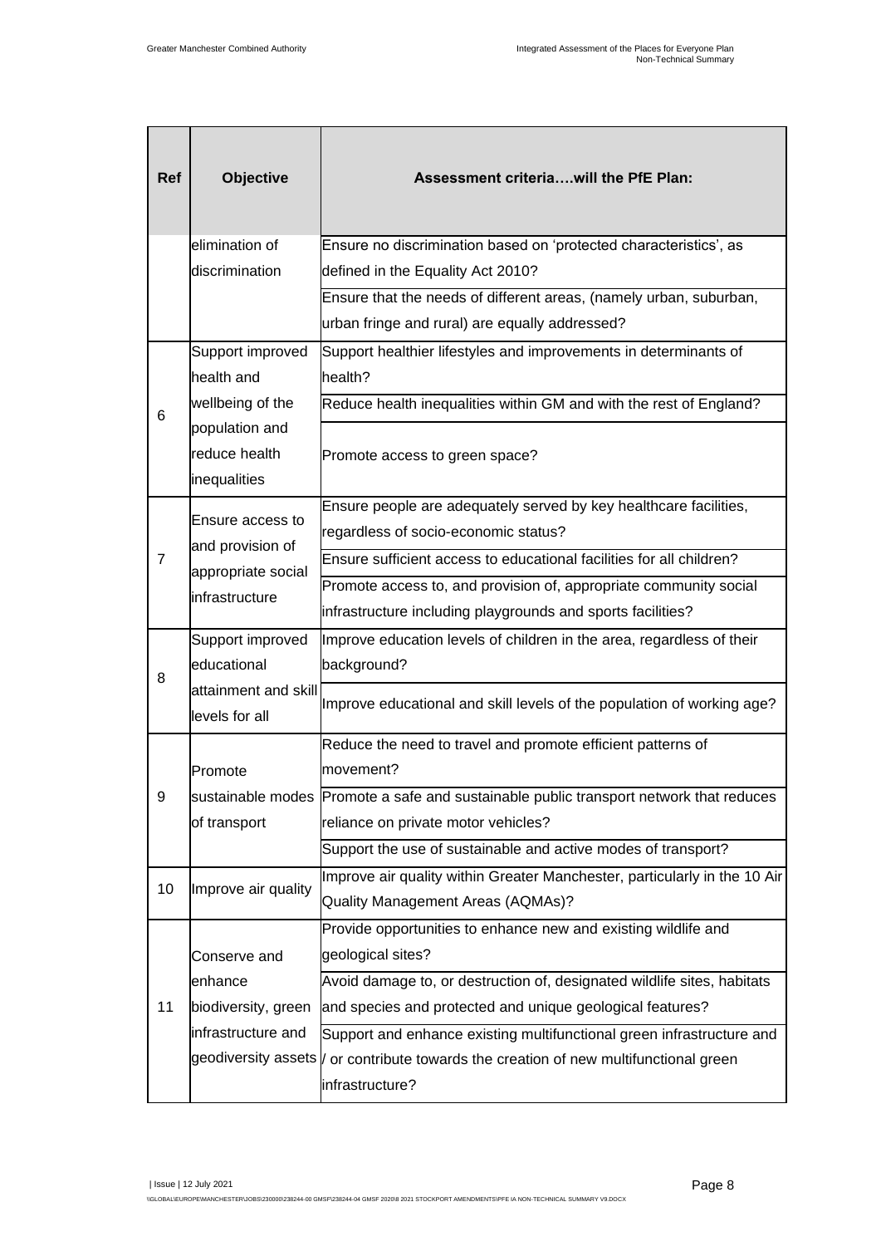| <b>Ref</b> | <b>Objective</b>                       | Assessment criteriawill the PfE Plan:                                                        |
|------------|----------------------------------------|----------------------------------------------------------------------------------------------|
|            | elimination of                         | Ensure no discrimination based on 'protected characteristics', as                            |
|            | discrimination                         | defined in the Equality Act 2010?                                                            |
|            |                                        | Ensure that the needs of different areas, (namely urban, suburban,                           |
|            |                                        | urban fringe and rural) are equally addressed?                                               |
|            | Support improved                       | Support healthier lifestyles and improvements in determinants of                             |
|            | health and                             | health?                                                                                      |
| 6          | wellbeing of the                       | Reduce health inequalities within GM and with the rest of England?                           |
|            | population and                         |                                                                                              |
|            | reduce health                          | Promote access to green space?                                                               |
|            | inequalities                           |                                                                                              |
|            | Ensure access to                       | Ensure people are adequately served by key healthcare facilities,                            |
|            | and provision of                       | regardless of socio-economic status?                                                         |
| 7          | appropriate social                     | Ensure sufficient access to educational facilities for all children?                         |
|            | infrastructure                         | Promote access to, and provision of, appropriate community social                            |
|            |                                        | infrastructure including playgrounds and sports facilities?                                  |
|            | Support improved                       | Improve education levels of children in the area, regardless of their                        |
| 8          | educational                            | background?                                                                                  |
|            | attainment and skill<br>levels for all | Improve educational and skill levels of the population of working age?                       |
|            |                                        | Reduce the need to travel and promote efficient patterns of                                  |
|            | Promote                                | movement?                                                                                    |
| 9          |                                        | sustainable modes Promote a safe and sustainable public transport network that reduces       |
|            | of transport                           | reliance on private motor vehicles?                                                          |
|            |                                        | Support the use of sustainable and active modes of transport?                                |
| 10         | Improve air quality                    | Improve air quality within Greater Manchester, particularly in the 10 Air                    |
|            |                                        | Quality Management Areas (AQMAs)?                                                            |
|            |                                        | Provide opportunities to enhance new and existing wildlife and                               |
|            | Conserve and                           | geological sites?                                                                            |
|            | enhance                                | Avoid damage to, or destruction of, designated wildlife sites, habitats                      |
| 11         | biodiversity, green                    | and species and protected and unique geological features?                                    |
|            | infrastructure and                     | Support and enhance existing multifunctional green infrastructure and                        |
|            |                                        | geodiversity assets <i>V</i> or contribute towards the creation of new multifunctional green |
|            |                                        | infrastructure?                                                                              |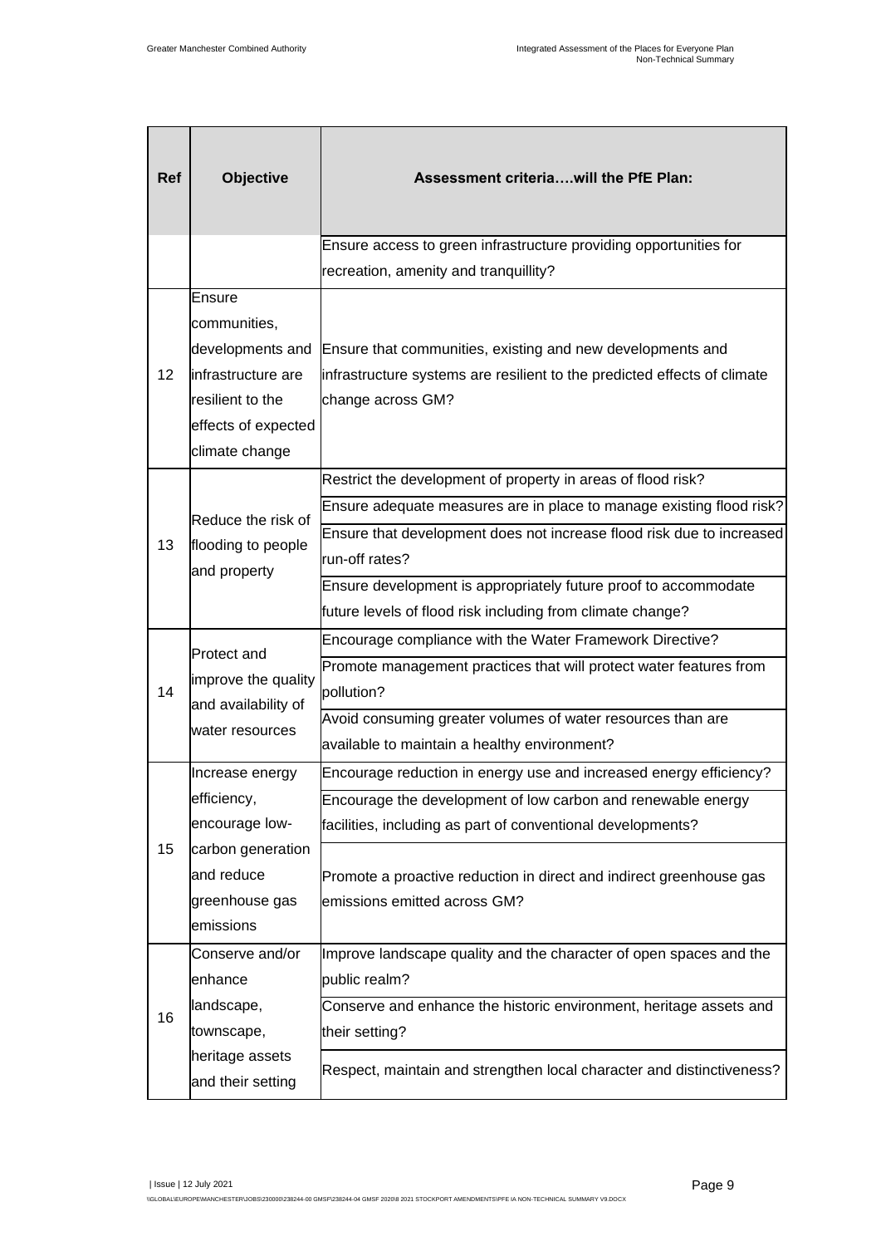| Ref             | Objective                                                                                                                                       | Assessment criteriawill the PfE Plan:                                                                                                                                                                                                                                                                    |
|-----------------|-------------------------------------------------------------------------------------------------------------------------------------------------|----------------------------------------------------------------------------------------------------------------------------------------------------------------------------------------------------------------------------------------------------------------------------------------------------------|
|                 |                                                                                                                                                 | Ensure access to green infrastructure providing opportunities for                                                                                                                                                                                                                                        |
|                 |                                                                                                                                                 | recreation, amenity and tranquillity?                                                                                                                                                                                                                                                                    |
| 12 <sup>2</sup> | Ensure<br>communities,<br>developments and<br>infrastructure are<br>resilient to the<br>effects of expected<br>climate change                   | Ensure that communities, existing and new developments and<br>infrastructure systems are resilient to the predicted effects of climate<br>change across GM?                                                                                                                                              |
| 13              | Reduce the risk of<br>flooding to people<br>and property<br><b>Protect and</b><br>improve the quality<br>and availability of<br>water resources | Restrict the development of property in areas of flood risk?<br>Ensure adequate measures are in place to manage existing flood risk?<br>Ensure that development does not increase flood risk due to increased<br>run-off rates?                                                                          |
|                 |                                                                                                                                                 | Ensure development is appropriately future proof to accommodate<br>future levels of flood risk including from climate change?                                                                                                                                                                            |
| 14              |                                                                                                                                                 | Encourage compliance with the Water Framework Directive?<br>Promote management practices that will protect water features from<br>pollution?<br>Avoid consuming greater volumes of water resources than are<br>available to maintain a healthy environment?                                              |
| 15              | Increase energy<br>efficiency,<br>encourage low-<br>carbon generation<br>and reduce<br>greenhouse gas<br>emissions                              | Encourage reduction in energy use and increased energy efficiency?<br>Encourage the development of low carbon and renewable energy<br>facilities, including as part of conventional developments?<br>Promote a proactive reduction in direct and indirect greenhouse gas<br>emissions emitted across GM? |
| 16              | Conserve and/or<br>enhance<br>landscape,<br>townscape,<br>heritage assets<br>and their setting                                                  | Improve landscape quality and the character of open spaces and the<br>public realm?<br>Conserve and enhance the historic environment, heritage assets and<br>their setting?<br>Respect, maintain and strengthen local character and distinctiveness?                                                     |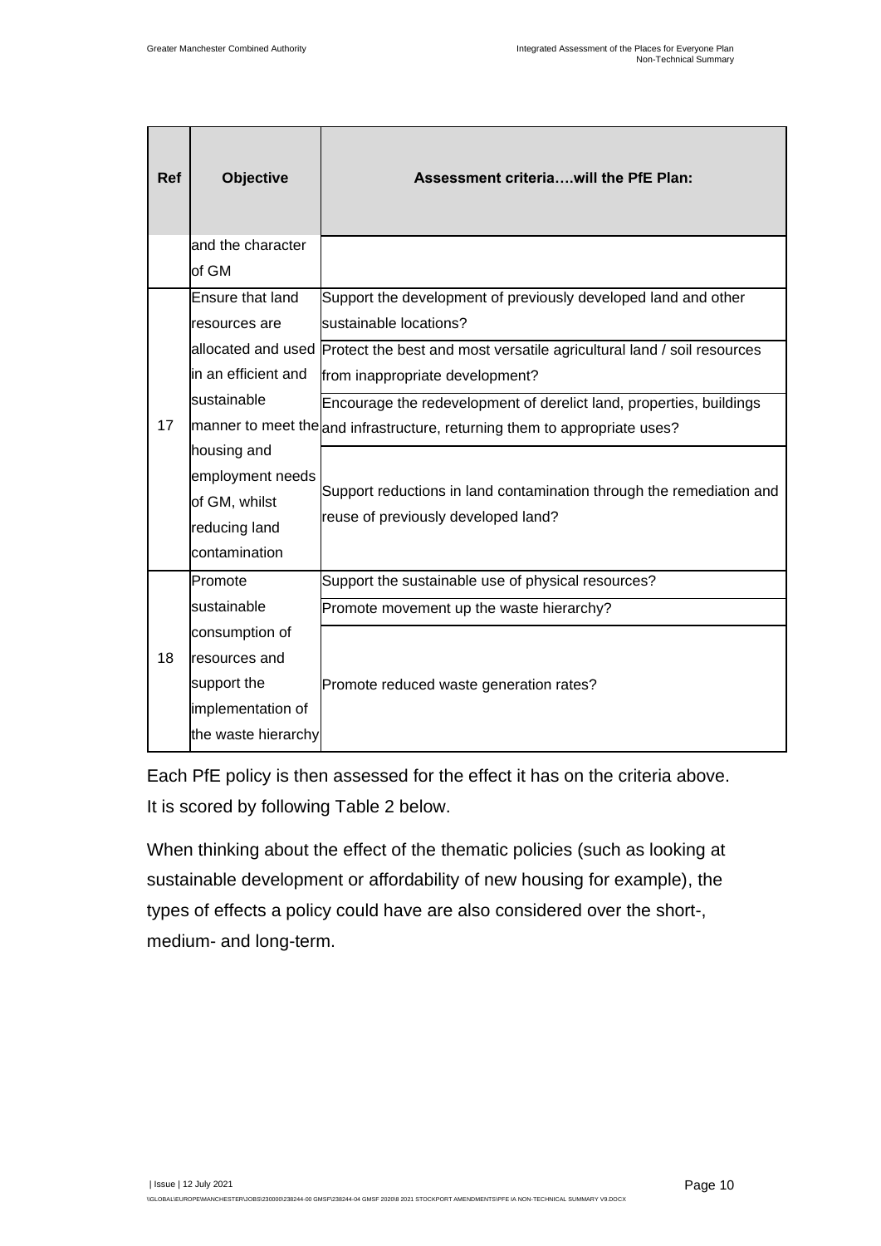| <b>Ref</b> | <b>Objective</b>    | Assessment criteriawill the PfE Plan:                                                     |  |  |  |  |  |
|------------|---------------------|-------------------------------------------------------------------------------------------|--|--|--|--|--|
|            | and the character   |                                                                                           |  |  |  |  |  |
|            | of GM               |                                                                                           |  |  |  |  |  |
|            | Ensure that land    | Support the development of previously developed land and other                            |  |  |  |  |  |
|            | resources are       | sustainable locations?                                                                    |  |  |  |  |  |
|            |                     | allocated and used Protect the best and most versatile agricultural land / soil resources |  |  |  |  |  |
|            | in an efficient and | from inappropriate development?                                                           |  |  |  |  |  |
|            | sustainable         | Encourage the redevelopment of derelict land, properties, buildings                       |  |  |  |  |  |
| 17         |                     | manner to meet the and infrastructure, returning them to appropriate uses?                |  |  |  |  |  |
|            | housing and         |                                                                                           |  |  |  |  |  |
|            | employment needs    | Support reductions in land contamination through the remediation and                      |  |  |  |  |  |
|            | of GM, whilst       |                                                                                           |  |  |  |  |  |
|            | reducing land       | reuse of previously developed land?                                                       |  |  |  |  |  |
|            | contamination       |                                                                                           |  |  |  |  |  |
|            | Promote             | Support the sustainable use of physical resources?                                        |  |  |  |  |  |
|            | sustainable         | Promote movement up the waste hierarchy?                                                  |  |  |  |  |  |
|            | consumption of      |                                                                                           |  |  |  |  |  |
| 18         | resources and       |                                                                                           |  |  |  |  |  |
|            | support the         | Promote reduced waste generation rates?                                                   |  |  |  |  |  |
|            | implementation of   |                                                                                           |  |  |  |  |  |
|            | the waste hierarchy |                                                                                           |  |  |  |  |  |

Each PfE policy is then assessed for the effect it has on the criteria above. It is scored by following Table 2 below.

When thinking about the effect of the thematic policies (such as looking at sustainable development or affordability of new housing for example), the types of effects a policy could have are also considered over the short-, medium- and long-term.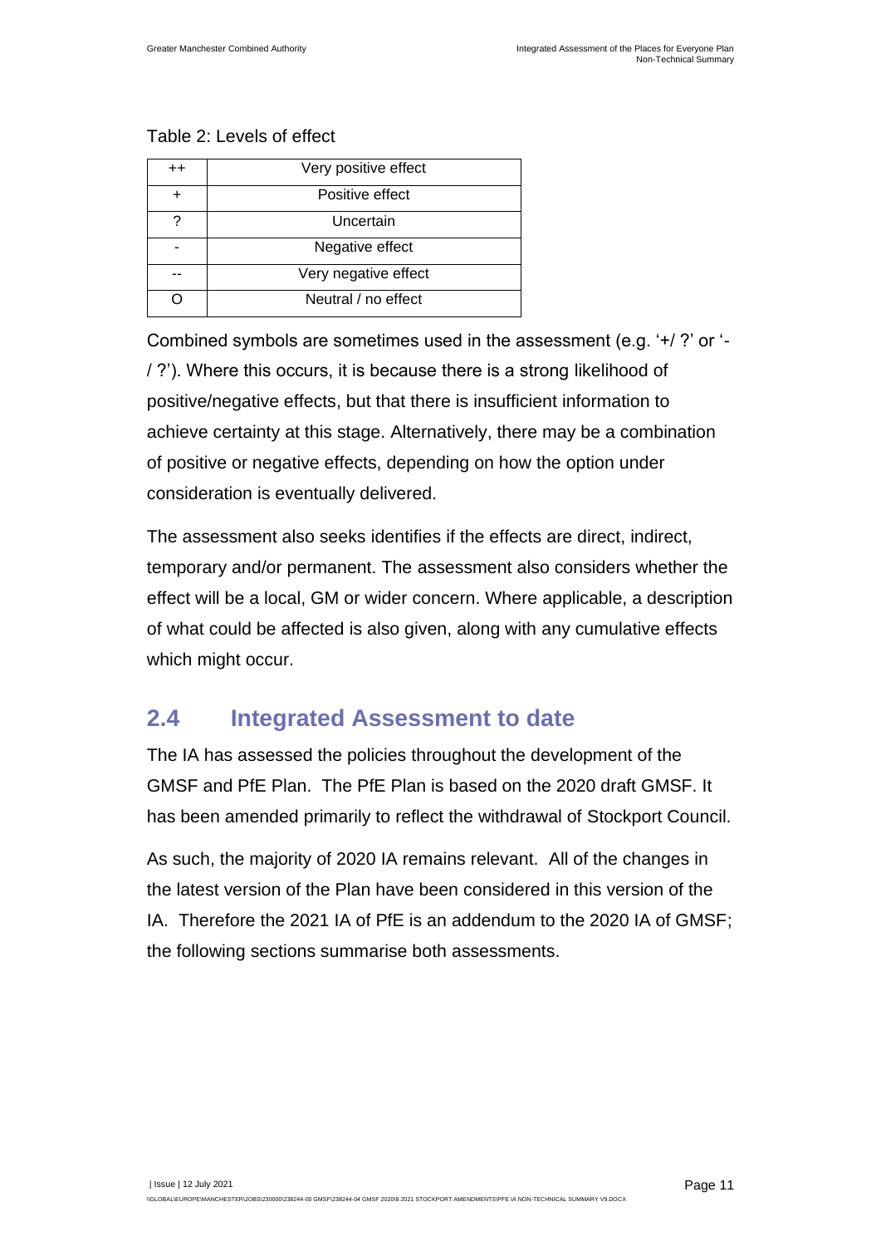#### Table 2: Levels of effect

| $^{++}$ | Very positive effect |
|---------|----------------------|
| +       | Positive effect      |
| ?       | Uncertain            |
|         | Negative effect      |
|         | Very negative effect |
|         | Neutral / no effect  |

Combined symbols are sometimes used in the assessment (e.g. '+/ ?' or '- / ?'). Where this occurs, it is because there is a strong likelihood of positive/negative effects, but that there is insufficient information to achieve certainty at this stage. Alternatively, there may be a combination of positive or negative effects, depending on how the option under consideration is eventually delivered.

The assessment also seeks identifies if the effects are direct, indirect, temporary and/or permanent. The assessment also considers whether the effect will be a local, GM or wider concern. Where applicable, a description of what could be affected is also given, along with any cumulative effects which might occur.

#### <span id="page-13-0"></span>**2.4 Integrated Assessment to date**

The IA has assessed the policies throughout the development of the GMSF and PfE Plan. The PfE Plan is based on the 2020 draft GMSF. It has been amended primarily to reflect the withdrawal of Stockport Council.

As such, the majority of 2020 IA remains relevant. All of the changes in the latest version of the Plan have been considered in this version of the IA. Therefore the 2021 IA of PfE is an addendum to the 2020 IA of GMSF; the following sections summarise both assessments.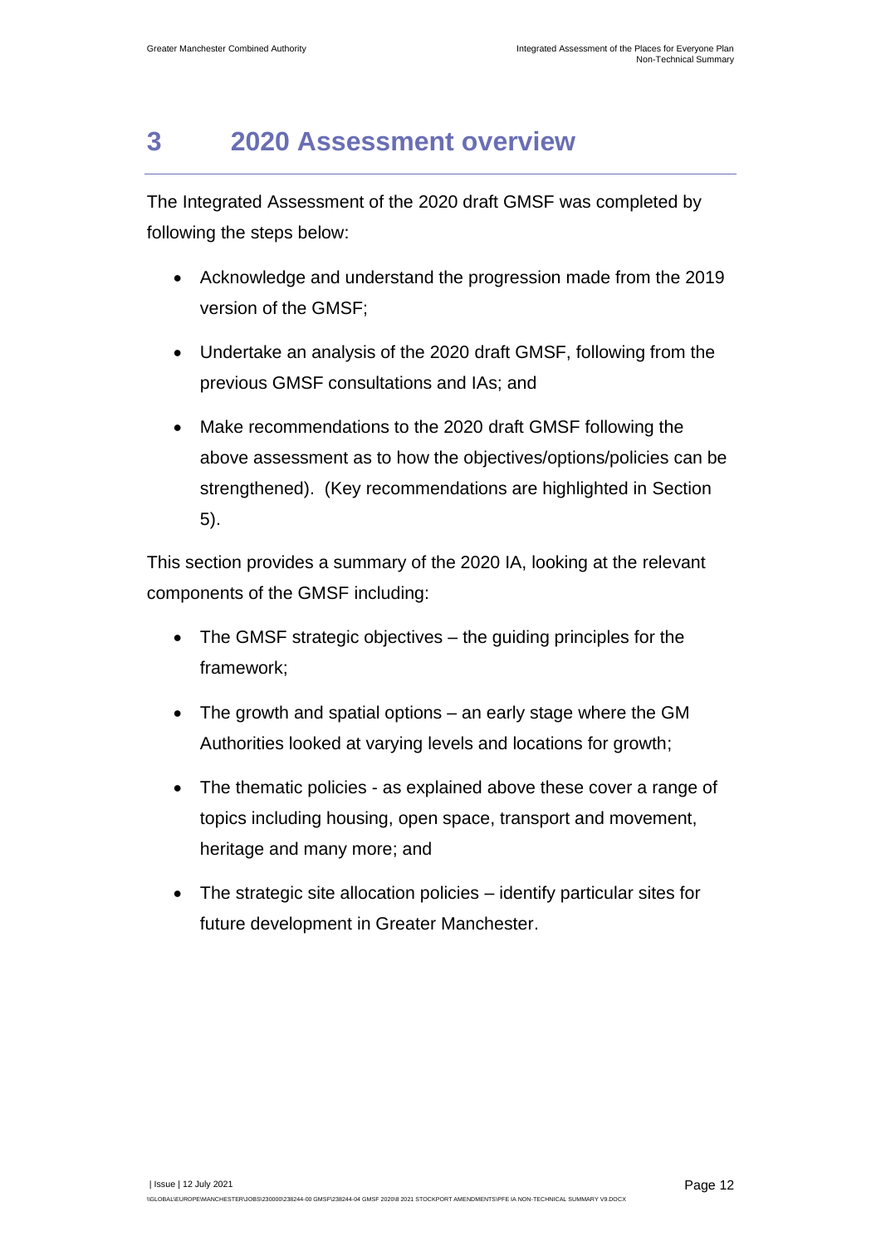## <span id="page-14-0"></span>**3 2020 Assessment overview**

The Integrated Assessment of the 2020 draft GMSF was completed by following the steps below:

- Acknowledge and understand the progression made from the 2019 version of the GMSF;
- Undertake an analysis of the 2020 draft GMSF, following from the previous GMSF consultations and IAs; and
- Make recommendations to the 2020 draft GMSF following the above assessment as to how the objectives/options/policies can be strengthened). (Key recommendations are highlighted in Section 5).

This section provides a summary of the 2020 IA, looking at the relevant components of the GMSF including:

- The GMSF strategic objectives the guiding principles for the framework;
- The growth and spatial options an early stage where the GM Authorities looked at varying levels and locations for growth;
- The thematic policies as explained above these cover a range of topics including housing, open space, transport and movement, heritage and many more; and
- The strategic site allocation policies identify particular sites for future development in Greater Manchester.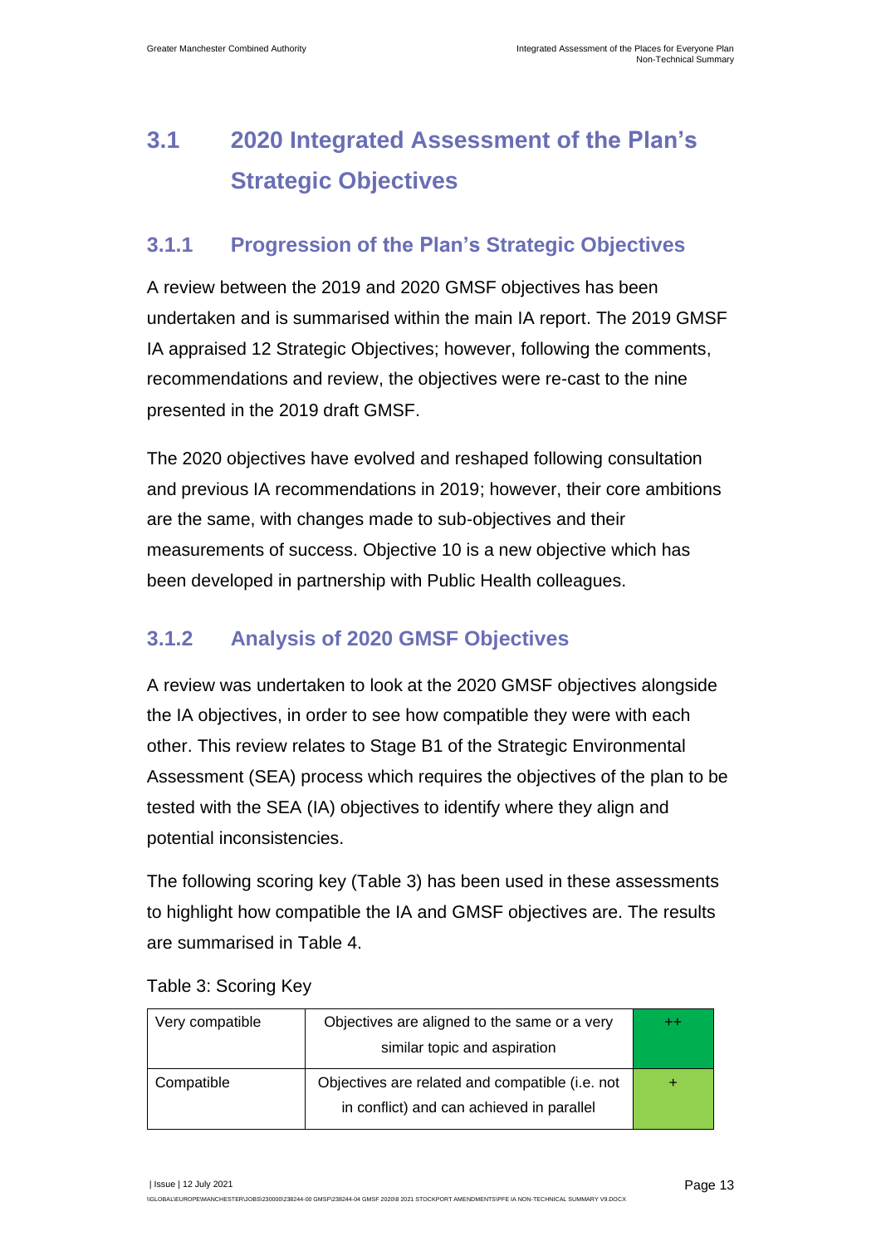## <span id="page-15-0"></span>**3.1 2020 Integrated Assessment of the Plan's Strategic Objectives**

#### **3.1.1 Progression of the Plan's Strategic Objectives**

A review between the 2019 and 2020 GMSF objectives has been undertaken and is summarised within the main IA report. The 2019 GMSF IA appraised 12 Strategic Objectives; however, following the comments, recommendations and review, the objectives were re-cast to the nine presented in the 2019 draft GMSF.

The 2020 objectives have evolved and reshaped following consultation and previous IA recommendations in 2019; however, their core ambitions are the same, with changes made to sub-objectives and their measurements of success. Objective 10 is a new objective which has been developed in partnership with Public Health colleagues.

#### **3.1.2 Analysis of 2020 GMSF Objectives**

A review was undertaken to look at the 2020 GMSF objectives alongside the IA objectives, in order to see how compatible they were with each other. This review relates to Stage B1 of the Strategic Environmental Assessment (SEA) process which requires the objectives of the plan to be tested with the SEA (IA) objectives to identify where they align and potential inconsistencies.

The following scoring key [\(Table 3\)](#page-15-1) has been used in these assessments to highlight how compatible the IA and GMSF objectives are. The results are summarised in [Table 4.](#page-16-0)

| Very compatible | Objectives are aligned to the same or a very<br>similar topic and aspiration                 | $+ +$ |
|-----------------|----------------------------------------------------------------------------------------------|-------|
| Compatible      | Objectives are related and compatible (i.e. not<br>in conflict) and can achieved in parallel |       |

<span id="page-15-1"></span>Table 3: Scoring Key

| Issue | 12 July 2021

\\GLOBAL\EUROPE\MANCHESTER\JOBS\230000\238244-00 GMSF\238244-04 GMSF 2020\8 2021 STOCKPORT AMENDMENTS\PFE IA NON-TECHNICAL SUMMARY V9.DOCX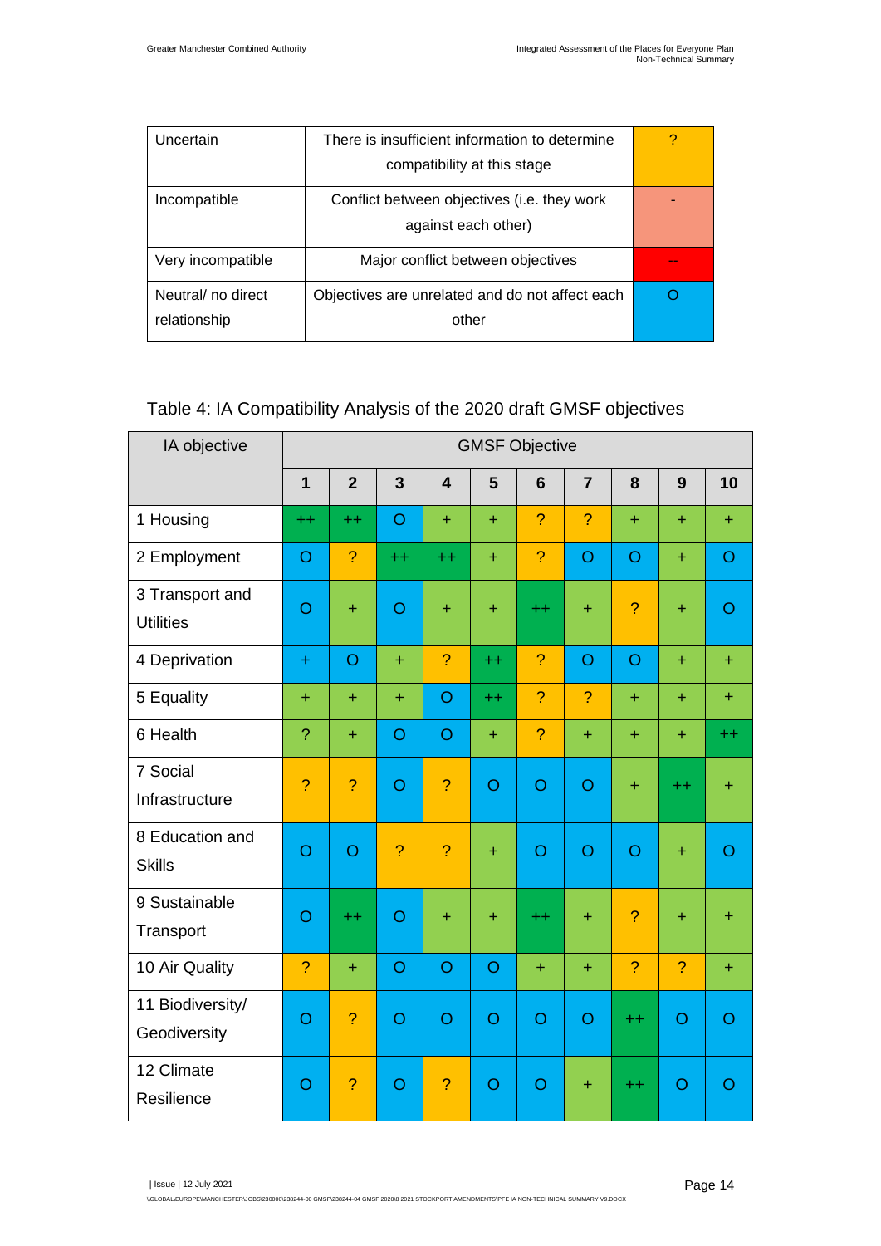| Uncertain          | There is insufficient information to determine  |  |  |  |  |
|--------------------|-------------------------------------------------|--|--|--|--|
|                    | compatibility at this stage                     |  |  |  |  |
| Incompatible       | Conflict between objectives (i.e. they work     |  |  |  |  |
|                    | against each other)                             |  |  |  |  |
| Very incompatible  | Major conflict between objectives               |  |  |  |  |
| Neutral/ no direct | Objectives are unrelated and do not affect each |  |  |  |  |
| relationship       | other                                           |  |  |  |  |

#### <span id="page-16-0"></span>Table 4: IA Compatibility Analysis of the 2020 draft GMSF objectives

| IA objective                        | <b>GMSF Objective</b> |                |                         |                         |                |                 |                |                 |                |                |
|-------------------------------------|-----------------------|----------------|-------------------------|-------------------------|----------------|-----------------|----------------|-----------------|----------------|----------------|
|                                     | $\overline{1}$        | $\overline{2}$ | $\overline{\mathbf{3}}$ | $\overline{\mathbf{4}}$ | 5              | $6\phantom{1}6$ | $\overline{7}$ | 8               | 9              | 10             |
| 1 Housing                           | $^{++}$               | $++$           | $\overline{O}$          | $\ddot{}$               | $\ddot{}$      | $\overline{?}$  | $\overline{?}$ | $\ddot{}$       | $\ddot{}$      | ÷              |
| 2 Employment                        | $\overline{O}$        | $\overline{?}$ | $++$                    | $++$                    | $+$            | $\overline{?}$  | $\circ$        | $\overline{O}$  | $\ddot{}$      | $\circ$        |
| 3 Transport and<br><b>Utilities</b> | $\overline{O}$        | $\ddot{}$      | $\overline{O}$          | $\pm$                   | $+$            | $++$            | $\ddot{}$      | ?               | $\ddot{}$      | $\overline{O}$ |
| 4 Deprivation                       | $\ddot{}$             | $\circ$        | $+$                     | $\overline{?}$          | $++$           | $\overline{?}$  | $\circ$        | $\circ$         | $+$            | $+$            |
| 5 Equality                          | ÷.                    | ÷              | $\ddot{}$               | $\overline{O}$          | $++$           | $\overline{?}$  | $\overline{?}$ | ÷               | ÷.             | ÷.             |
| 6 Health                            | $\overline{?}$        | ÷              | $\overline{O}$          | $\overline{O}$          | $+$            | $\overline{?}$  | $+$            | $+$             | $\ddot{}$      | $++$           |
| 7 Social<br>Infrastructure          | $\overline{?}$        | $\overline{?}$ | $\overline{O}$          | ?                       | $\overline{O}$ | $\overline{O}$  | $\circ$        | ÷               | $^{++}$        | ÷              |
| 8 Education and<br><b>Skills</b>    | $\overline{O}$        | $\overline{O}$ | $\overline{?}$          | $\overline{?}$          | $+$            | $\circ$         | $\circ$        | $\circ$         | $+$            | O              |
| 9 Sustainable<br>Transport          | $\overline{O}$        | $^{++}$        | $\overline{O}$          | ÷                       | $\ddot{}$      | $++$            | $+$            | $\overline{?}$  | ÷              | ÷              |
| 10 Air Quality                      | $\overline{?}$        | $\ddot{}$      | Ō                       | $\overline{O}$          | $\circ$        | $\ddot{}$       | $+$            | $\overline{?}$  | ?              | ÷              |
| 11 Biodiversity/<br>Geodiversity    | $\overline{O}$        | $\overline{?}$ | O                       | $\circ$                 | $\circ$        | $\overline{O}$  | $\overline{O}$ | $++$            | $\circ$        | O              |
| 12 Climate<br>Resilience            | $\overline{O}$        | $\overline{?}$ | Ō                       | $\overline{?}$          | $\circ$        | $\overline{O}$  | ÷              | $^{\mathrm{+}}$ | $\overline{O}$ | O              |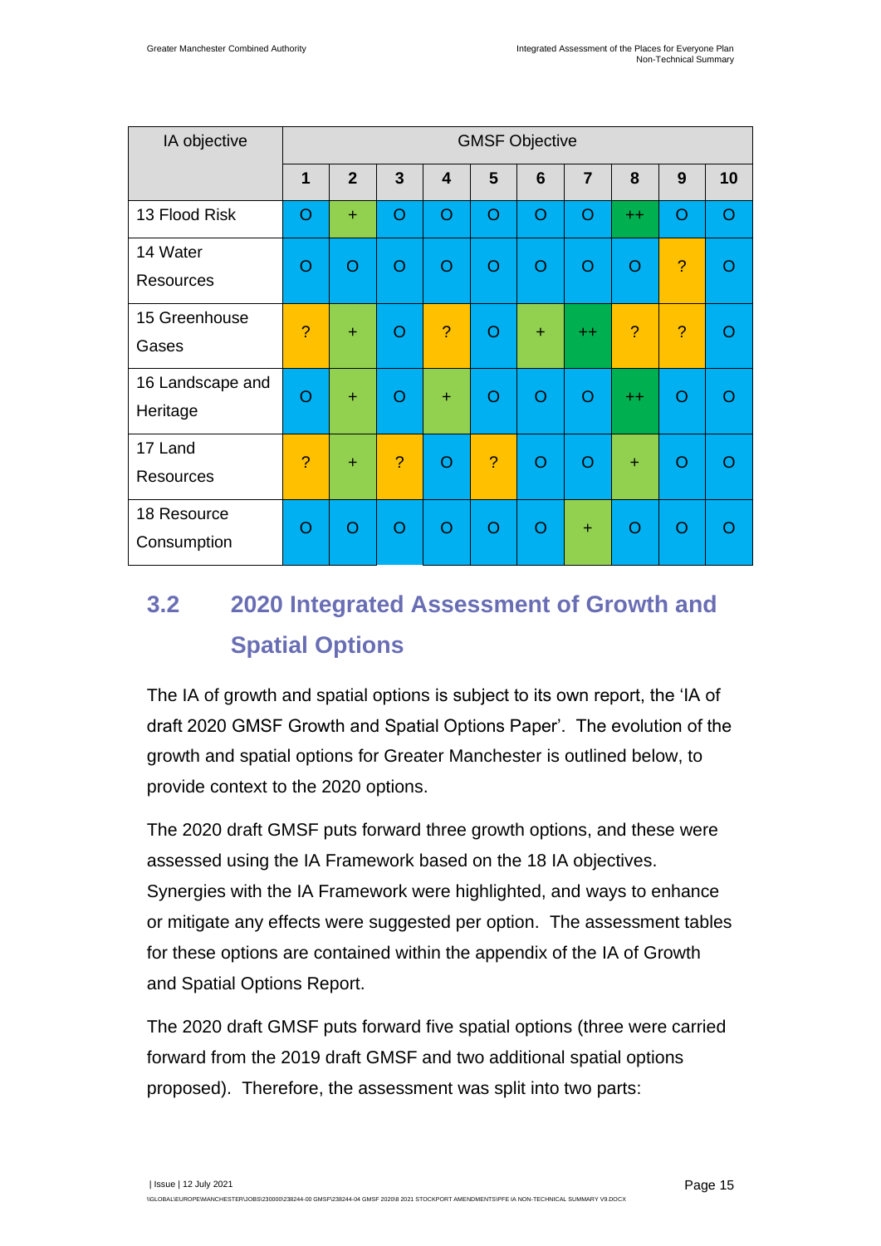| IA objective                 |                |                |                |                         | <b>GMSF Objective</b> |                |                |                |                |         |
|------------------------------|----------------|----------------|----------------|-------------------------|-----------------------|----------------|----------------|----------------|----------------|---------|
|                              | 1              | $\overline{2}$ | $\overline{3}$ | $\overline{\mathbf{4}}$ | 5                     | 6              | $\overline{7}$ | 8              | 9              | 10      |
| 13 Flood Risk                | O              | ÷              | O              | $\circ$                 | $\circ$               | O              | $\circ$        | $+$            | $\circ$        | $\circ$ |
| 14 Water<br><b>Resources</b> | O              | O              | O              | $\circ$                 | $\circ$               | O              | $\overline{O}$ | $\overline{O}$ | $\overline{?}$ | O       |
| 15 Greenhouse<br>Gases       | $\overline{?}$ | ÷              | O              | $\overline{?}$          | $\circ$               | ÷              | $+ +$          | ?              | ?              | O       |
| 16 Landscape and<br>Heritage | O              | ÷              | O              | $+$                     | $\circ$               | O              | O              | $+ +$          | O              | Ω       |
| 17 Land<br><b>Resources</b>  | ?              | $\ddot{}$      | $\overline{?}$ | $\Omega$                | $\overline{?}$        | $\overline{O}$ | $\Omega$       | $+$            | O              | O       |
| 18 Resource<br>Consumption   | O              | O              | O              | O                       | $\circ$               | O              | $+$            | $\circ$        | O              | ∩       |

## <span id="page-17-0"></span>**3.2 2020 Integrated Assessment of Growth and Spatial Options**

The IA of growth and spatial options is subject to its own report, the 'IA of draft 2020 GMSF Growth and Spatial Options Paper'. The evolution of the growth and spatial options for Greater Manchester is outlined below, to provide context to the 2020 options.

The 2020 draft GMSF puts forward three growth options, and these were assessed using the IA Framework based on the 18 IA objectives. Synergies with the IA Framework were highlighted, and ways to enhance or mitigate any effects were suggested per option. The assessment tables for these options are contained within the appendix of the IA of Growth and Spatial Options Report.

The 2020 draft GMSF puts forward five spatial options (three were carried forward from the 2019 draft GMSF and two additional spatial options proposed). Therefore, the assessment was split into two parts: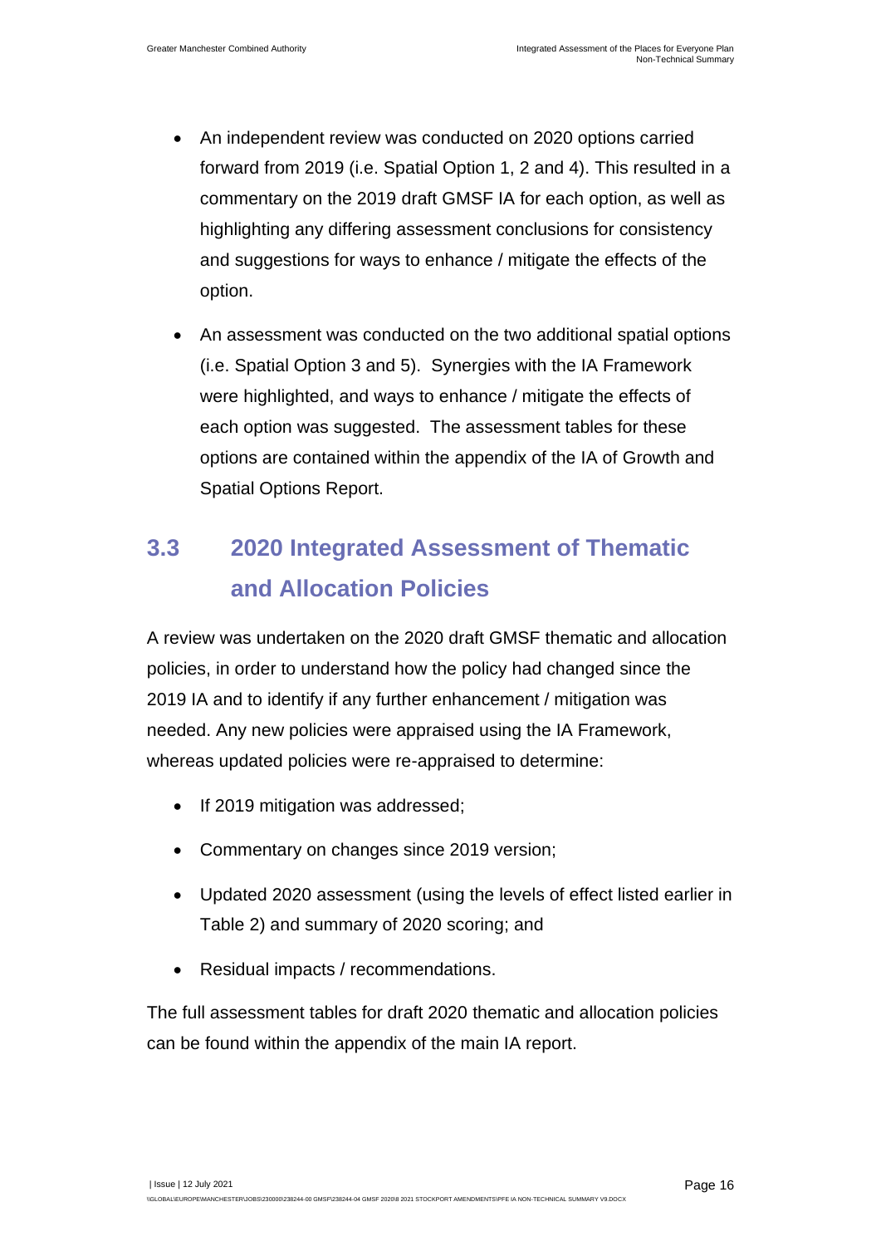- An independent review was conducted on 2020 options carried forward from 2019 (i.e. Spatial Option 1, 2 and 4). This resulted in a commentary on the 2019 draft GMSF IA for each option, as well as highlighting any differing assessment conclusions for consistency and suggestions for ways to enhance / mitigate the effects of the option.
- An assessment was conducted on the two additional spatial options (i.e. Spatial Option 3 and 5). Synergies with the IA Framework were highlighted, and ways to enhance / mitigate the effects of each option was suggested. The assessment tables for these options are contained within the appendix of the IA of Growth and Spatial Options Report.

## <span id="page-18-0"></span>**3.3 2020 Integrated Assessment of Thematic and Allocation Policies**

A review was undertaken on the 2020 draft GMSF thematic and allocation policies, in order to understand how the policy had changed since the 2019 IA and to identify if any further enhancement / mitigation was needed. Any new policies were appraised using the IA Framework, whereas updated policies were re-appraised to determine:

- If 2019 mitigation was addressed;
- Commentary on changes since 2019 version;
- Updated 2020 assessment (using the levels of effect listed earlier in Table 2) and summary of 2020 scoring; and
- Residual impacts / recommendations.

The full assessment tables for draft 2020 thematic and allocation policies can be found within the appendix of the main IA report.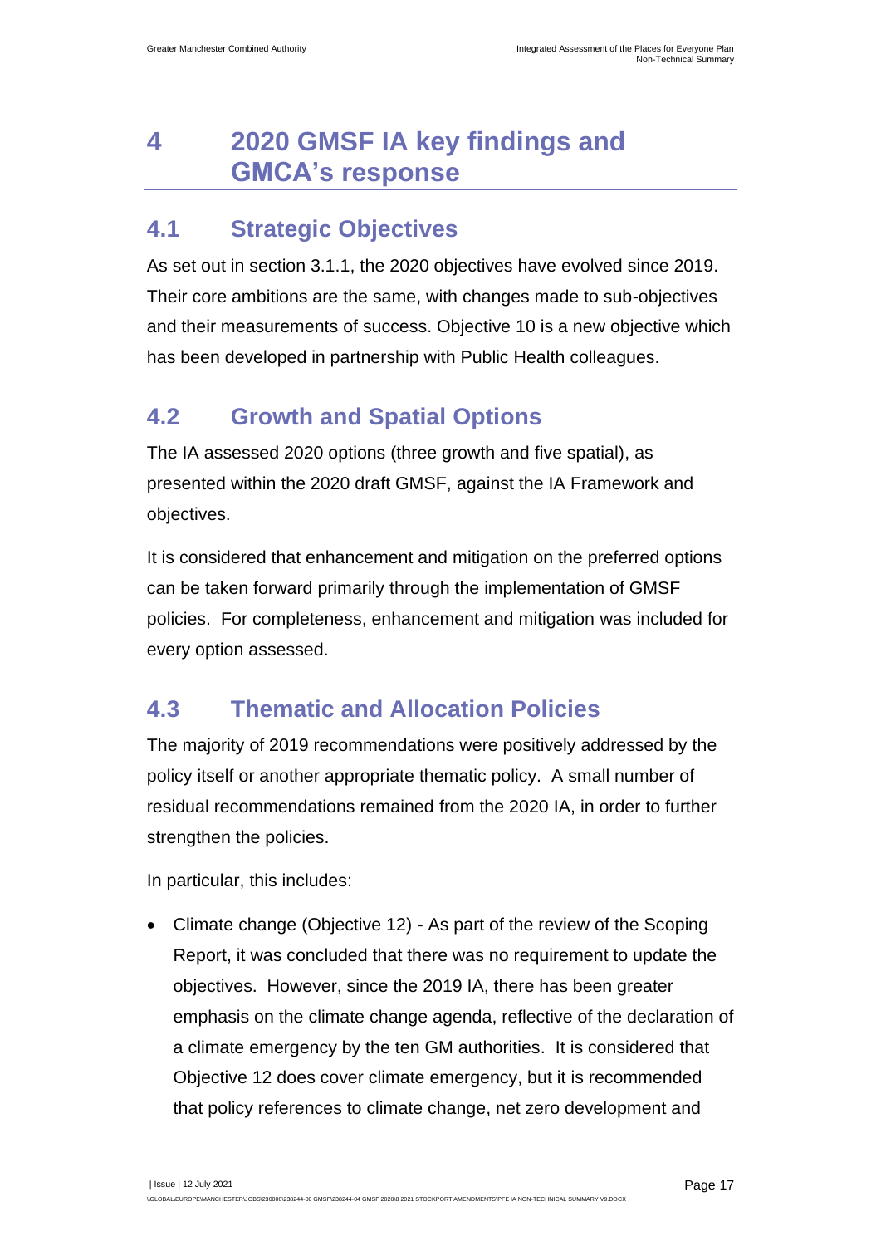## <span id="page-19-0"></span>**4 2020 GMSF IA key findings and GMCA's response**

#### <span id="page-19-1"></span>**4.1 Strategic Objectives**

As set out in section 3.1.1, the 2020 objectives have evolved since 2019. Their core ambitions are the same, with changes made to sub-objectives and their measurements of success. Objective 10 is a new objective which has been developed in partnership with Public Health colleagues.

### <span id="page-19-2"></span>**4.2 Growth and Spatial Options**

The IA assessed 2020 options (three growth and five spatial), as presented within the 2020 draft GMSF, against the IA Framework and objectives.

It is considered that enhancement and mitigation on the preferred options can be taken forward primarily through the implementation of GMSF policies. For completeness, enhancement and mitigation was included for every option assessed.

### <span id="page-19-3"></span>**4.3 Thematic and Allocation Policies**

The majority of 2019 recommendations were positively addressed by the policy itself or another appropriate thematic policy. A small number of residual recommendations remained from the 2020 IA, in order to further strengthen the policies.

In particular, this includes:

• Climate change (Objective 12) - As part of the review of the Scoping Report, it was concluded that there was no requirement to update the objectives. However, since the 2019 IA, there has been greater emphasis on the climate change agenda, reflective of the declaration of a climate emergency by the ten GM authorities. It is considered that Objective 12 does cover climate emergency, but it is recommended that policy references to climate change, net zero development and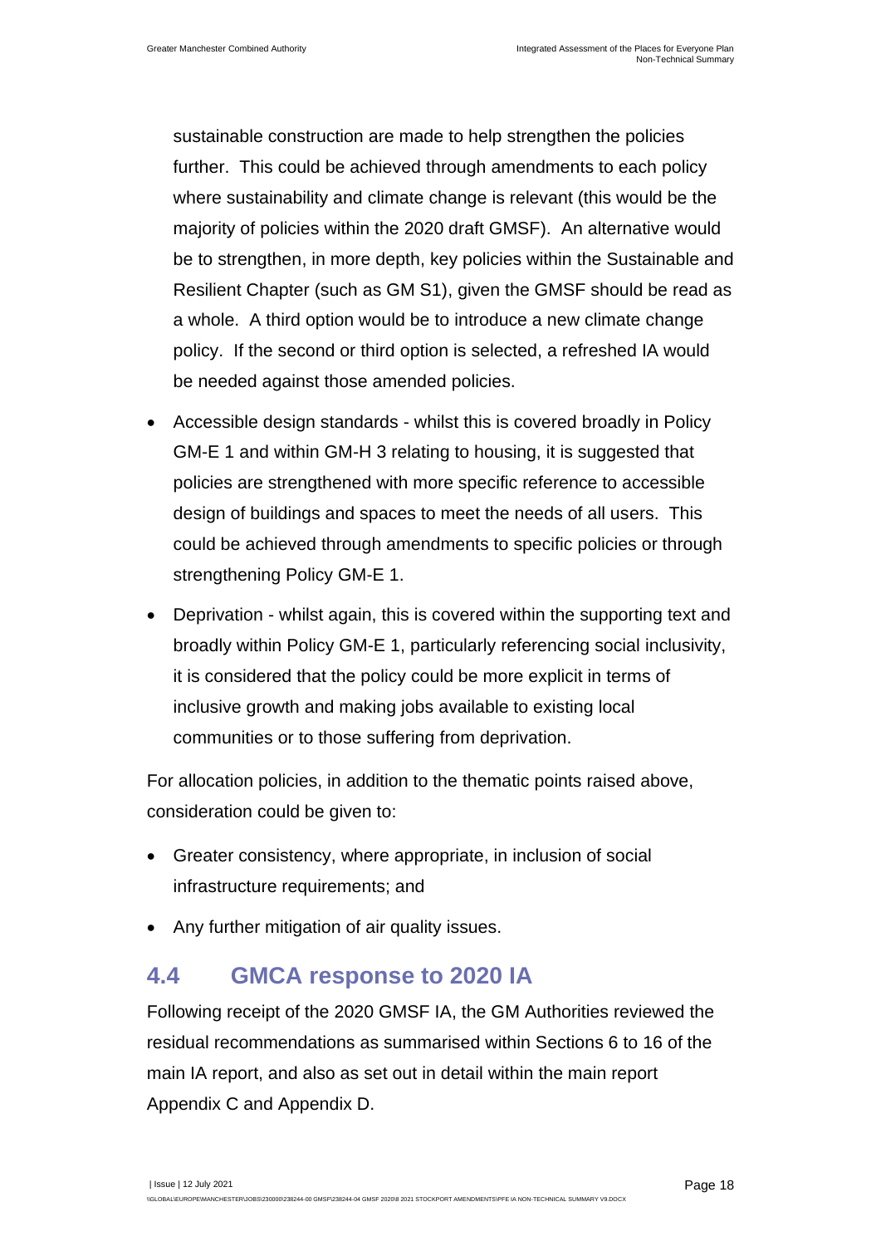sustainable construction are made to help strengthen the policies further. This could be achieved through amendments to each policy where sustainability and climate change is relevant (this would be the majority of policies within the 2020 draft GMSF). An alternative would be to strengthen, in more depth, key policies within the Sustainable and Resilient Chapter (such as GM S1), given the GMSF should be read as a whole. A third option would be to introduce a new climate change policy. If the second or third option is selected, a refreshed IA would be needed against those amended policies.

- Accessible design standards whilst this is covered broadly in Policy GM-E 1 and within GM-H 3 relating to housing, it is suggested that policies are strengthened with more specific reference to accessible design of buildings and spaces to meet the needs of all users. This could be achieved through amendments to specific policies or through strengthening Policy GM-E 1.
- Deprivation whilst again, this is covered within the supporting text and broadly within Policy GM-E 1, particularly referencing social inclusivity, it is considered that the policy could be more explicit in terms of inclusive growth and making jobs available to existing local communities or to those suffering from deprivation.

For allocation policies, in addition to the thematic points raised above, consideration could be given to:

- Greater consistency, where appropriate, in inclusion of social infrastructure requirements; and
- Any further mitigation of air quality issues.

#### <span id="page-20-0"></span>**4.4 GMCA response to 2020 IA**

Following receipt of the 2020 GMSF IA, the GM Authorities reviewed the residual recommendations as summarised within Sections 6 to 16 of the main IA report, and also as set out in detail within the main report Appendix C and Appendix D.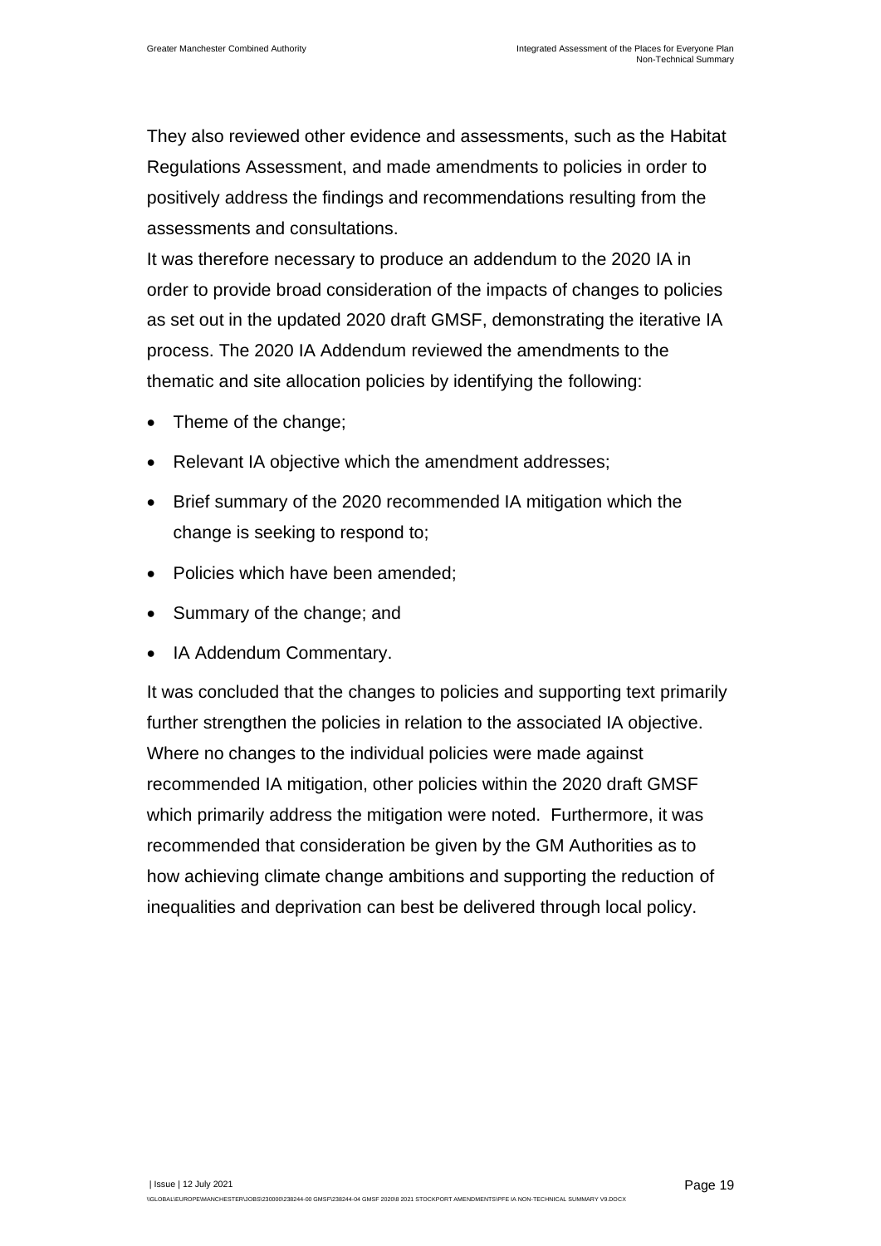They also reviewed other evidence and assessments, such as the Habitat Regulations Assessment, and made amendments to policies in order to positively address the findings and recommendations resulting from the assessments and consultations.

It was therefore necessary to produce an addendum to the 2020 IA in order to provide broad consideration of the impacts of changes to policies as set out in the updated 2020 draft GMSF, demonstrating the iterative IA process. The 2020 IA Addendum reviewed the amendments to the thematic and site allocation policies by identifying the following:

- Theme of the change;
- Relevant IA objective which the amendment addresses;
- Brief summary of the 2020 recommended IA mitigation which the change is seeking to respond to;
- Policies which have been amended:
- Summary of the change; and
- IA Addendum Commentary.

It was concluded that the changes to policies and supporting text primarily further strengthen the policies in relation to the associated IA objective. Where no changes to the individual policies were made against recommended IA mitigation, other policies within the 2020 draft GMSF which primarily address the mitigation were noted. Furthermore, it was recommended that consideration be given by the GM Authorities as to how achieving climate change ambitions and supporting the reduction of inequalities and deprivation can best be delivered through local policy.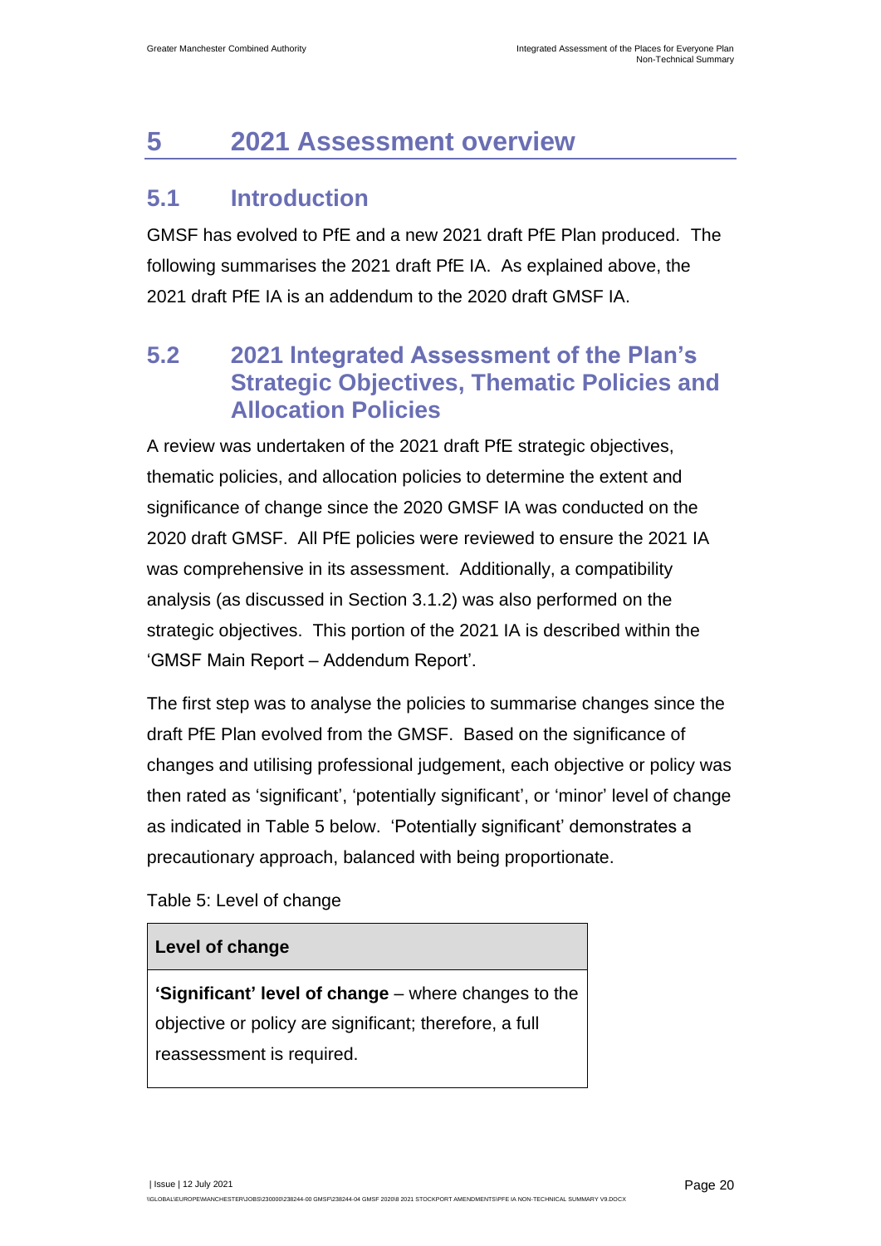## <span id="page-22-0"></span>**5 2021 Assessment overview**

### <span id="page-22-1"></span>**5.1 Introduction**

GMSF has evolved to PfE and a new 2021 draft PfE Plan produced. The following summarises the 2021 draft PfE IA. As explained above, the 2021 draft PfE IA is an addendum to the 2020 draft GMSF IA.

### <span id="page-22-2"></span>**5.2 2021 Integrated Assessment of the Plan's Strategic Objectives, Thematic Policies and Allocation Policies**

A review was undertaken of the 2021 draft PfE strategic objectives, thematic policies, and allocation policies to determine the extent and significance of change since the 2020 GMSF IA was conducted on the 2020 draft GMSF. All PfE policies were reviewed to ensure the 2021 IA was comprehensive in its assessment. Additionally, a compatibility analysis (as discussed in Section 3.1.2) was also performed on the strategic objectives. This portion of the 2021 IA is described within the 'GMSF Main Report – Addendum Report'.

The first step was to analyse the policies to summarise changes since the draft PfE Plan evolved from the GMSF. Based on the significance of changes and utilising professional judgement, each objective or policy was then rated as 'significant', 'potentially significant', or 'minor' level of change as indicated in [Table 5](#page-22-3) below. 'Potentially significant' demonstrates a precautionary approach, balanced with being proportionate.

<span id="page-22-3"></span>Table 5: Level of change

#### **Level of change**

**'Significant' level of change** – where changes to the objective or policy are significant; therefore, a full reassessment is required.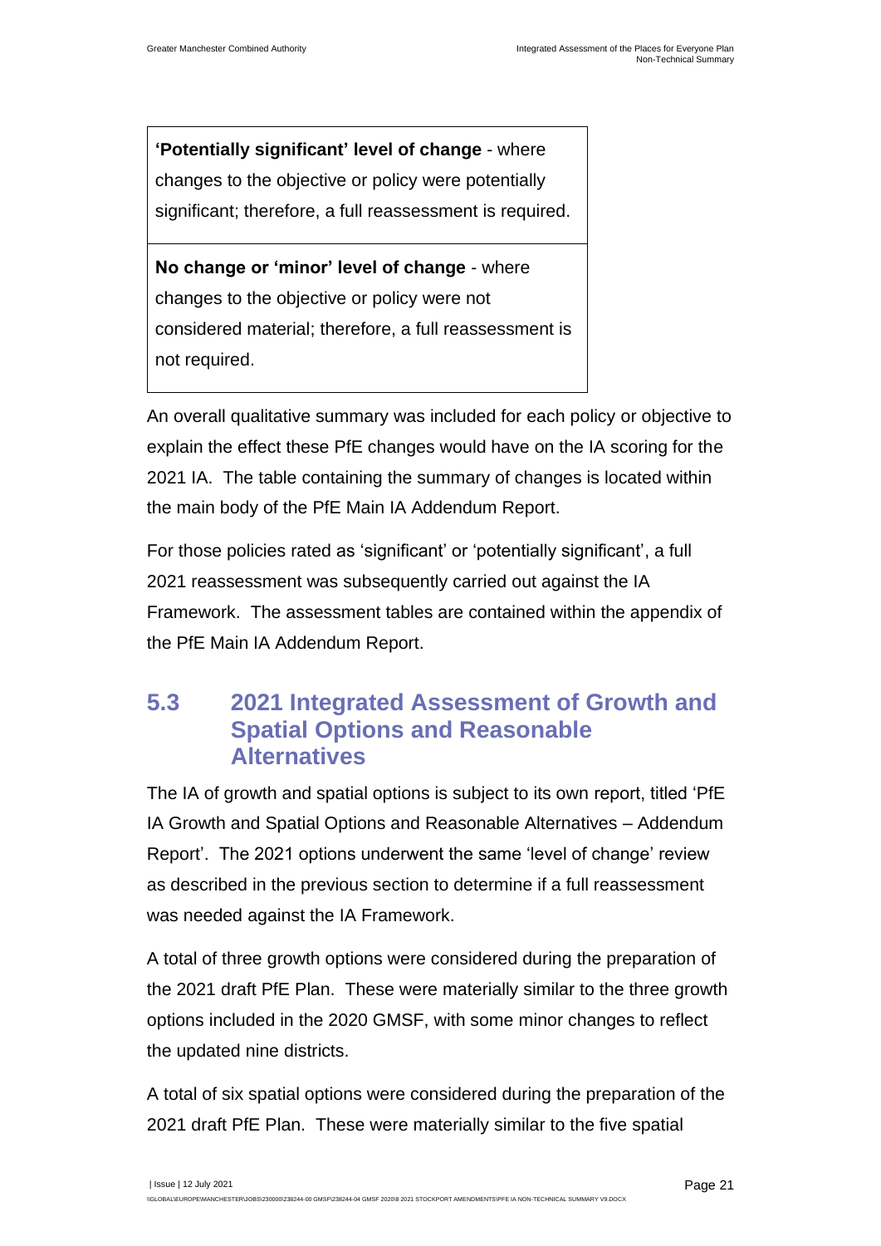**'Potentially significant' level of change** - where changes to the objective or policy were potentially significant; therefore, a full reassessment is required.

**No change or 'minor' level of change** - where changes to the objective or policy were not considered material; therefore, a full reassessment is not required.

An overall qualitative summary was included for each policy or objective to explain the effect these PfE changes would have on the IA scoring for the 2021 IA. The table containing the summary of changes is located within the main body of the PfE Main IA Addendum Report.

For those policies rated as 'significant' or 'potentially significant', a full 2021 reassessment was subsequently carried out against the IA Framework. The assessment tables are contained within the appendix of the PfE Main IA Addendum Report.

### <span id="page-23-0"></span>**5.3 2021 Integrated Assessment of Growth and Spatial Options and Reasonable Alternatives**

The IA of growth and spatial options is subject to its own report, titled 'PfE IA Growth and Spatial Options and Reasonable Alternatives – Addendum Report'. The 2021 options underwent the same 'level of change' review as described in the previous section to determine if a full reassessment was needed against the IA Framework.

A total of three growth options were considered during the preparation of the 2021 draft PfE Plan. These were materially similar to the three growth options included in the 2020 GMSF, with some minor changes to reflect the updated nine districts.

A total of six spatial options were considered during the preparation of the 2021 draft PfE Plan. These were materially similar to the five spatial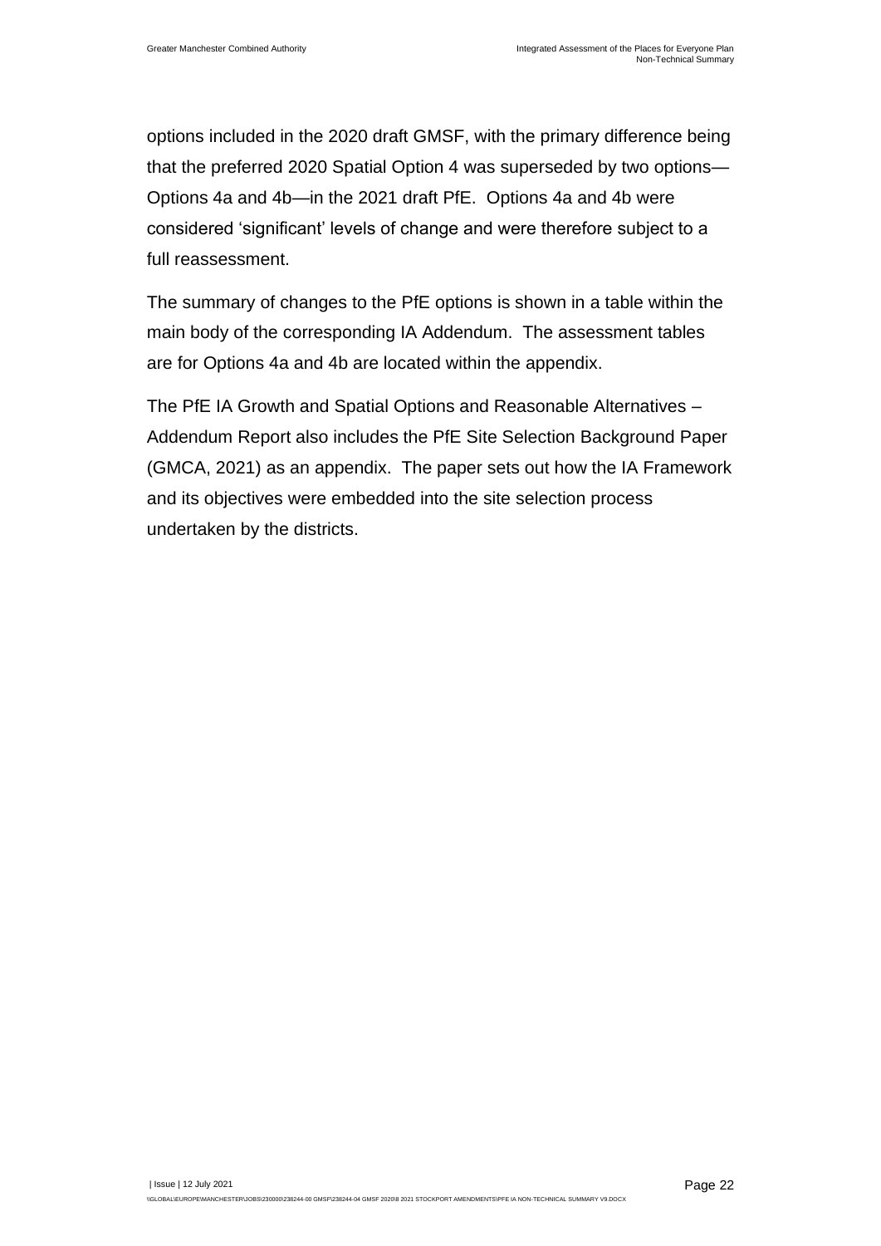options included in the 2020 draft GMSF, with the primary difference being that the preferred 2020 Spatial Option 4 was superseded by two options— Options 4a and 4b—in the 2021 draft PfE. Options 4a and 4b were considered 'significant' levels of change and were therefore subject to a full reassessment.

The summary of changes to the PfE options is shown in a table within the main body of the corresponding IA Addendum. The assessment tables are for Options 4a and 4b are located within the appendix.

The PfE IA Growth and Spatial Options and Reasonable Alternatives – Addendum Report also includes the PfE Site Selection Background Paper (GMCA, 2021) as an appendix. The paper sets out how the IA Framework and its objectives were embedded into the site selection process undertaken by the districts.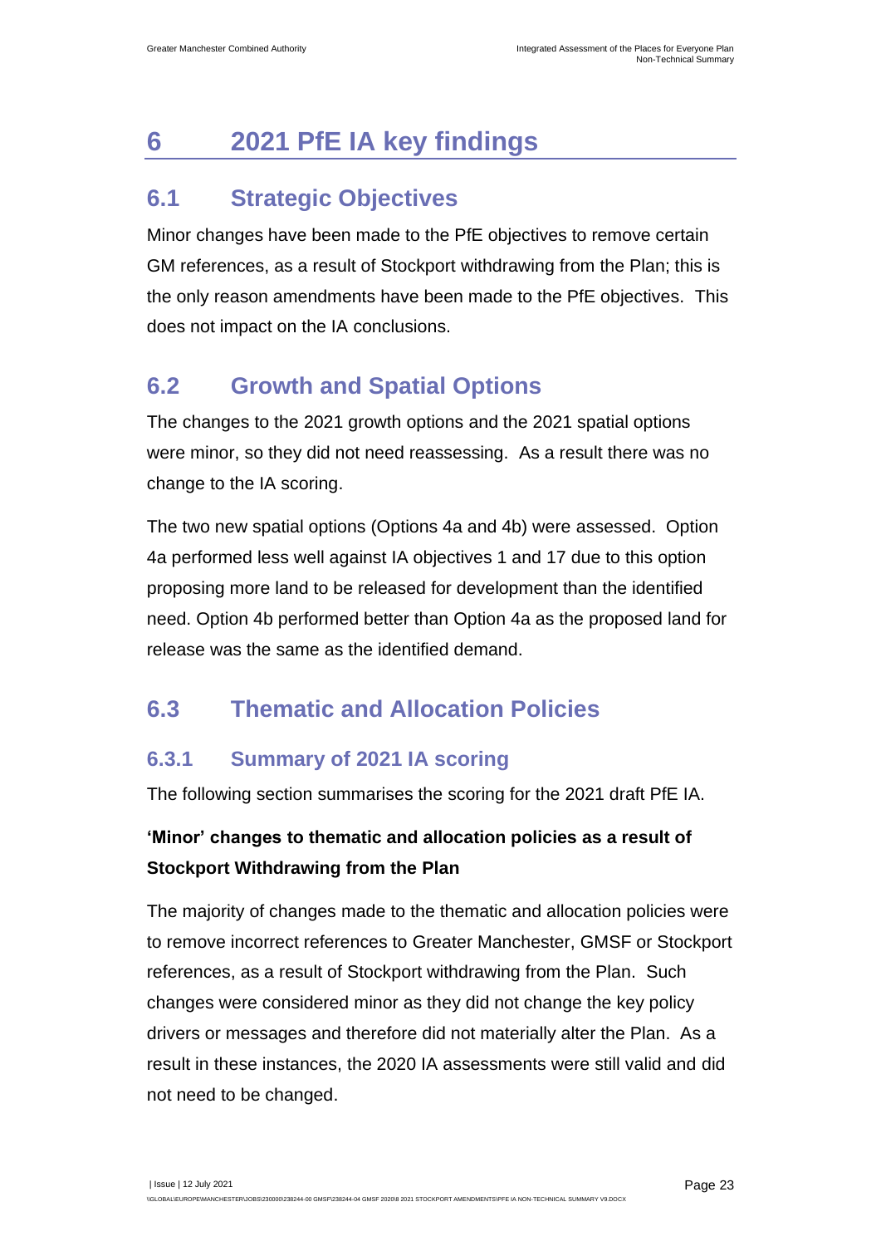## <span id="page-25-0"></span>**6 2021 PfE IA key findings**

## <span id="page-25-1"></span>**6.1 Strategic Objectives**

Minor changes have been made to the PfE objectives to remove certain GM references, as a result of Stockport withdrawing from the Plan; this is the only reason amendments have been made to the PfE objectives. This does not impact on the IA conclusions.

### <span id="page-25-2"></span>**6.2 Growth and Spatial Options**

The changes to the 2021 growth options and the 2021 spatial options were minor, so they did not need reassessing. As a result there was no change to the IA scoring.

The two new spatial options (Options 4a and 4b) were assessed. Option 4a performed less well against IA objectives 1 and 17 due to this option proposing more land to be released for development than the identified need. Option 4b performed better than Option 4a as the proposed land for release was the same as the identified demand.

### <span id="page-25-3"></span>**6.3 Thematic and Allocation Policies**

#### **6.3.1 Summary of 2021 IA scoring**

The following section summarises the scoring for the 2021 draft PfE IA.

#### **'Minor' changes to thematic and allocation policies as a result of Stockport Withdrawing from the Plan**

The majority of changes made to the thematic and allocation policies were to remove incorrect references to Greater Manchester, GMSF or Stockport references, as a result of Stockport withdrawing from the Plan. Such changes were considered minor as they did not change the key policy drivers or messages and therefore did not materially alter the Plan. As a result in these instances, the 2020 IA assessments were still valid and did not need to be changed.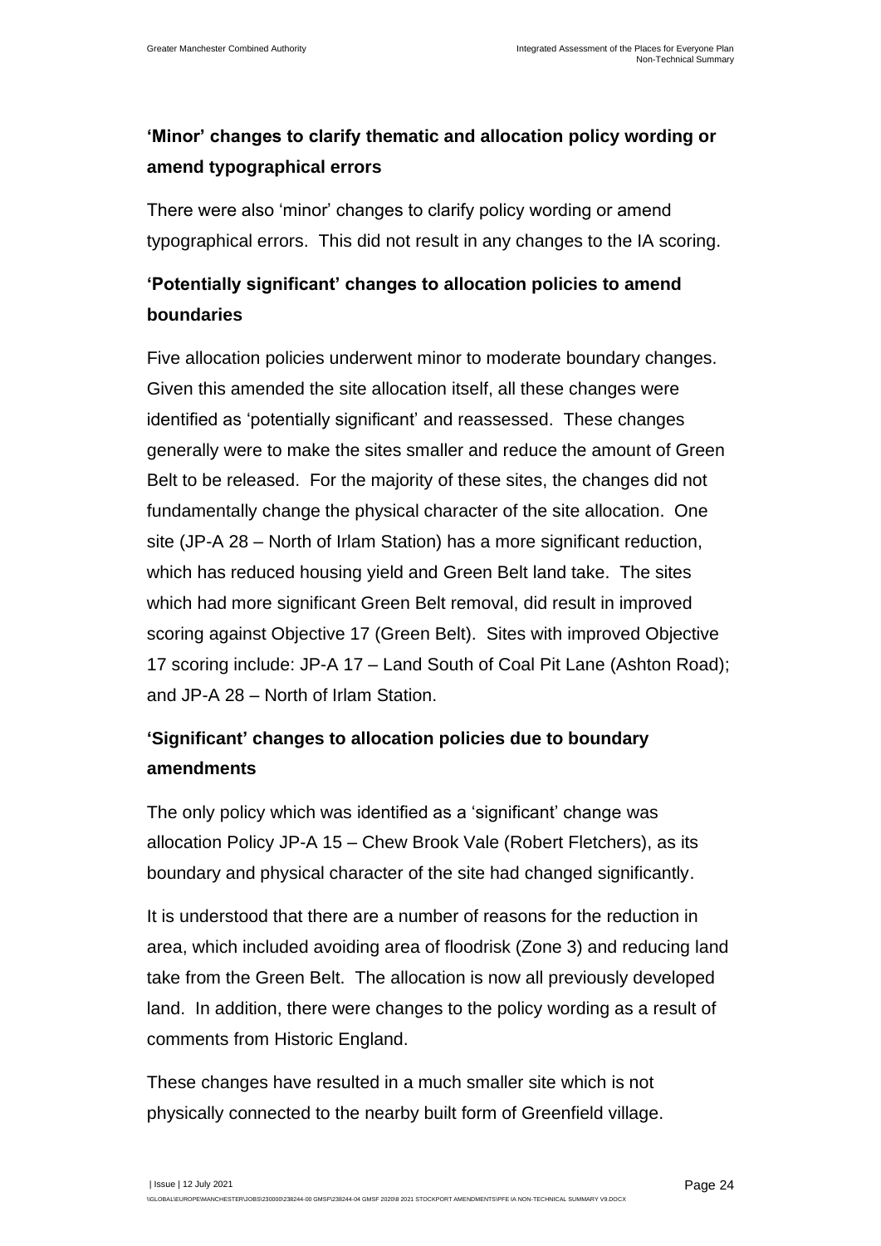#### **'Minor' changes to clarify thematic and allocation policy wording or amend typographical errors**

There were also 'minor' changes to clarify policy wording or amend typographical errors. This did not result in any changes to the IA scoring.

#### **'Potentially significant' changes to allocation policies to amend boundaries**

Five allocation policies underwent minor to moderate boundary changes. Given this amended the site allocation itself, all these changes were identified as 'potentially significant' and reassessed. These changes generally were to make the sites smaller and reduce the amount of Green Belt to be released. For the majority of these sites, the changes did not fundamentally change the physical character of the site allocation. One site (JP-A 28 – North of Irlam Station) has a more significant reduction, which has reduced housing yield and Green Belt land take. The sites which had more significant Green Belt removal, did result in improved scoring against Objective 17 (Green Belt). Sites with improved Objective 17 scoring include: JP-A 17 – Land South of Coal Pit Lane (Ashton Road); and JP-A 28 – North of Irlam Station.

#### **'Significant' changes to allocation policies due to boundary amendments**

The only policy which was identified as a 'significant' change was allocation Policy JP-A 15 – Chew Brook Vale (Robert Fletchers), as its boundary and physical character of the site had changed significantly.

It is understood that there are a number of reasons for the reduction in area, which included avoiding area of floodrisk (Zone 3) and reducing land take from the Green Belt. The allocation is now all previously developed land. In addition, there were changes to the policy wording as a result of comments from Historic England.

These changes have resulted in a much smaller site which is not physically connected to the nearby built form of Greenfield village.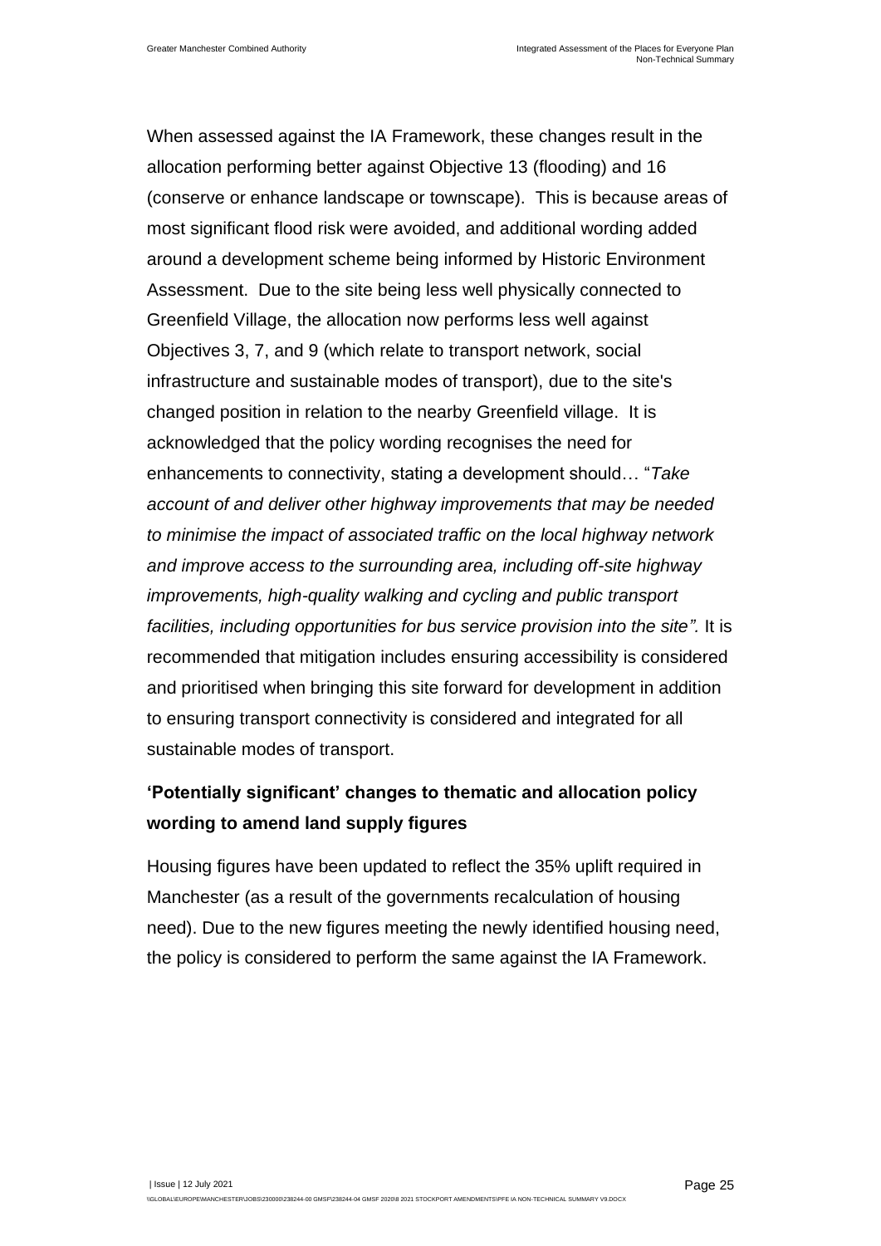When assessed against the IA Framework, these changes result in the allocation performing better against Objective 13 (flooding) and 16 (conserve or enhance landscape or townscape). This is because areas of most significant flood risk were avoided, and additional wording added around a development scheme being informed by Historic Environment Assessment. Due to the site being less well physically connected to Greenfield Village, the allocation now performs less well against Objectives 3, 7, and 9 (which relate to transport network, social infrastructure and sustainable modes of transport), due to the site's changed position in relation to the nearby Greenfield village. It is acknowledged that the policy wording recognises the need for enhancements to connectivity, stating a development should… "*Take account of and deliver other highway improvements that may be needed to minimise the impact of associated traffic on the local highway network and improve access to the surrounding area, including off-site highway improvements, high-quality walking and cycling and public transport facilities, including opportunities for bus service provision into the site".* It is recommended that mitigation includes ensuring accessibility is considered and prioritised when bringing this site forward for development in addition to ensuring transport connectivity is considered and integrated for all sustainable modes of transport.

#### **'Potentially significant' changes to thematic and allocation policy wording to amend land supply figures**

Housing figures have been updated to reflect the 35% uplift required in Manchester (as a result of the governments recalculation of housing need). Due to the new figures meeting the newly identified housing need, the policy is considered to perform the same against the IA Framework.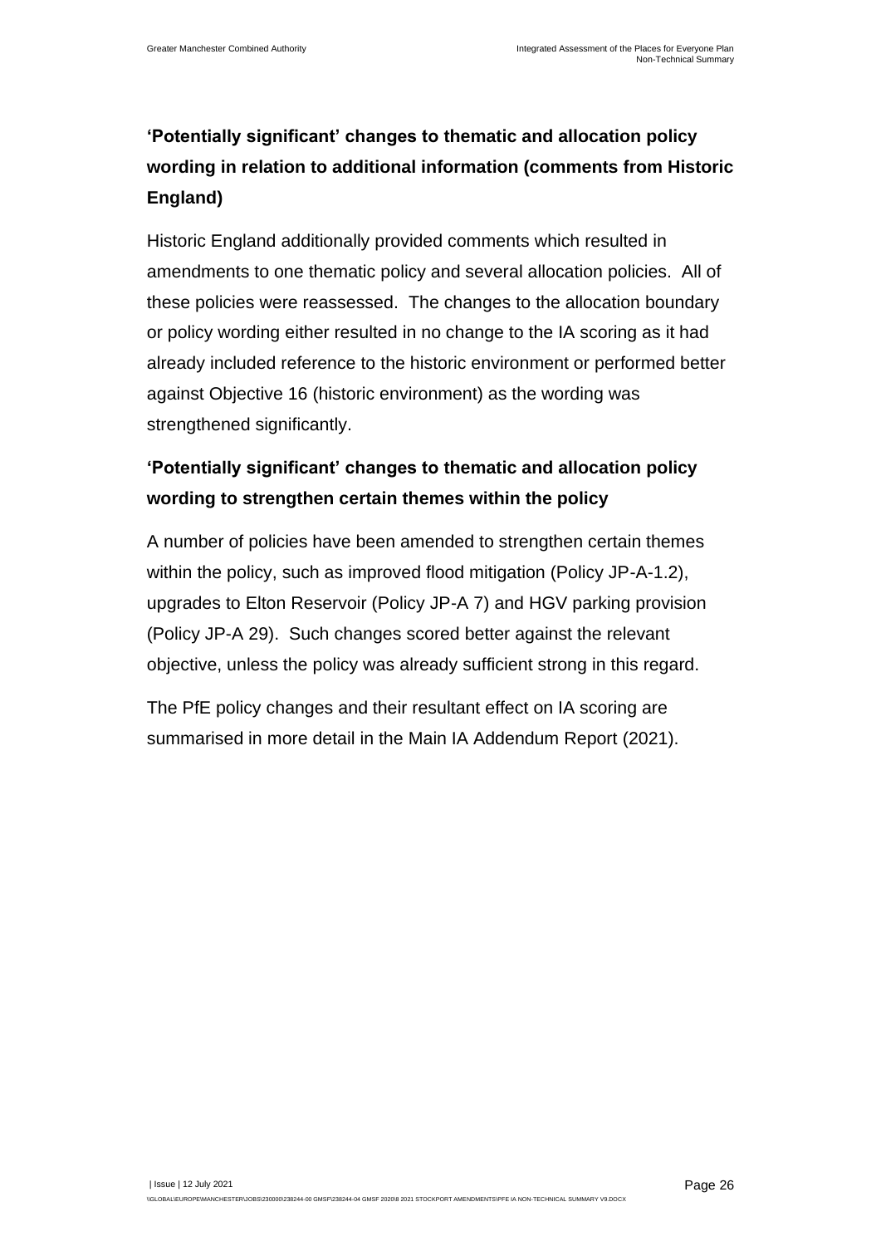### **'Potentially significant' changes to thematic and allocation policy wording in relation to additional information (comments from Historic England)**

Historic England additionally provided comments which resulted in amendments to one thematic policy and several allocation policies. All of these policies were reassessed. The changes to the allocation boundary or policy wording either resulted in no change to the IA scoring as it had already included reference to the historic environment or performed better against Objective 16 (historic environment) as the wording was strengthened significantly.

#### **'Potentially significant' changes to thematic and allocation policy wording to strengthen certain themes within the policy**

A number of policies have been amended to strengthen certain themes within the policy, such as improved flood mitigation (Policy JP-A-1.2), upgrades to Elton Reservoir (Policy JP-A 7) and HGV parking provision (Policy JP-A 29). Such changes scored better against the relevant objective, unless the policy was already sufficient strong in this regard.

The PfE policy changes and their resultant effect on IA scoring are summarised in more detail in the Main IA Addendum Report (2021).